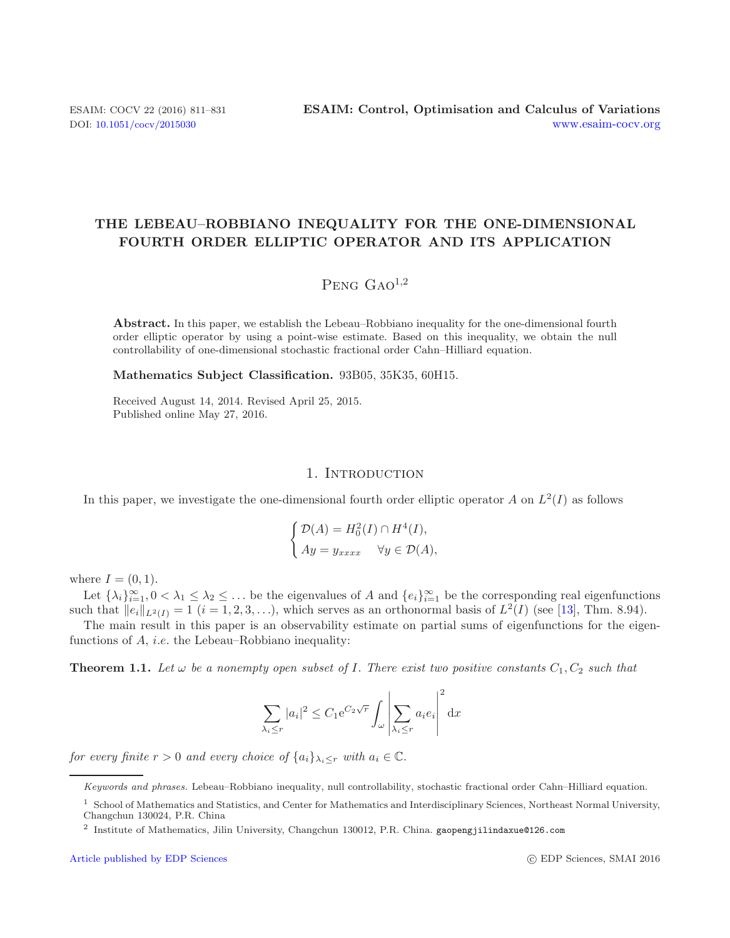# **THE LEBEAU–ROBBIANO INEQUALITY FOR THE ONE-DIMENSIONAL FOURTH ORDER ELLIPTIC OPERATOR AND ITS APPLICATION**

# $P_{ENG}$   $G_{AO}^{1,2}$

**Abstract.** In this paper, we establish the Lebeau–Robbiano inequality for the one-dimensional fourth order elliptic operator by using a point-wise estimate. Based on this inequality, we obtain the null controllability of one-dimensional stochastic fractional order Cahn–Hilliard equation.

**Mathematics Subject Classification.** 93B05, 35K35, 60H15.

Received August 14, 2014. Revised April 25, 2015. Published online May 27, 2016.

## <span id="page-0-0"></span>1. INTRODUCTION

In this paper, we investigate the one-dimensional fourth order elliptic operator A on  $L^2(I)$  as follows

$$
\begin{cases}\n\mathcal{D}(A) = H_0^2(I) \cap H^4(I), \\
Ay = y_{xxxx} \quad \forall y \in \mathcal{D}(A),\n\end{cases}
$$

where  $I = (0, 1)$ .

Let  $\{\lambda_i\}_{i=1}^{\infty}, 0 < \lambda_1 \leq \lambda_2 \leq \ldots$  be the eigenvalues of A and  $\{e_i\}_{i=1}^{\infty}$  be the corresponding real eigenfunctions such that  $||e_i||_{L^2(I)} = 1$   $(i = 1, 2, 3, \ldots)$ , which serves as an orthonormal basis of  $L^2(I)$  (see [\[13\]](#page-20-0), Thm. 8.94).

The main result in this paper is an observability estimate on partial sums of eigenfunctions for the eigenfunctions of  $A$ , *i.e.* the Lebeau–Robbiano inequality:

**Theorem 1.1.** Let  $\omega$  be a nonempty open subset of I. There exist two positive constants  $C_1, C_2$  such that

$$
\sum_{\lambda_i \le r} |a_i|^2 \le C_1 e^{C_2 \sqrt{r}} \int_{\omega} \left| \sum_{\lambda_i \le r} a_i e_i \right|^2 dx
$$

*for every finite*  $r > 0$  *and every choice of*  $\{a_i\}_{\lambda_i \leq r}$  *with*  $a_i \in \mathbb{C}$ *.* 

Keywords and phrases. Lebeau–Robbiano inequality, null controllability, stochastic fractional order Cahn–Hilliard equation.

 $^{\rm 1}$  School of Mathematics and Statistics, and Center for Mathematics and Interdisciplinary Sciences, Northeast Normal University, Changchun 130024, P.R. China

<sup>2</sup> Institute of Mathematics, Jilin University, Changchun 130012, P.R. China. gaopengjilindaxue@126.com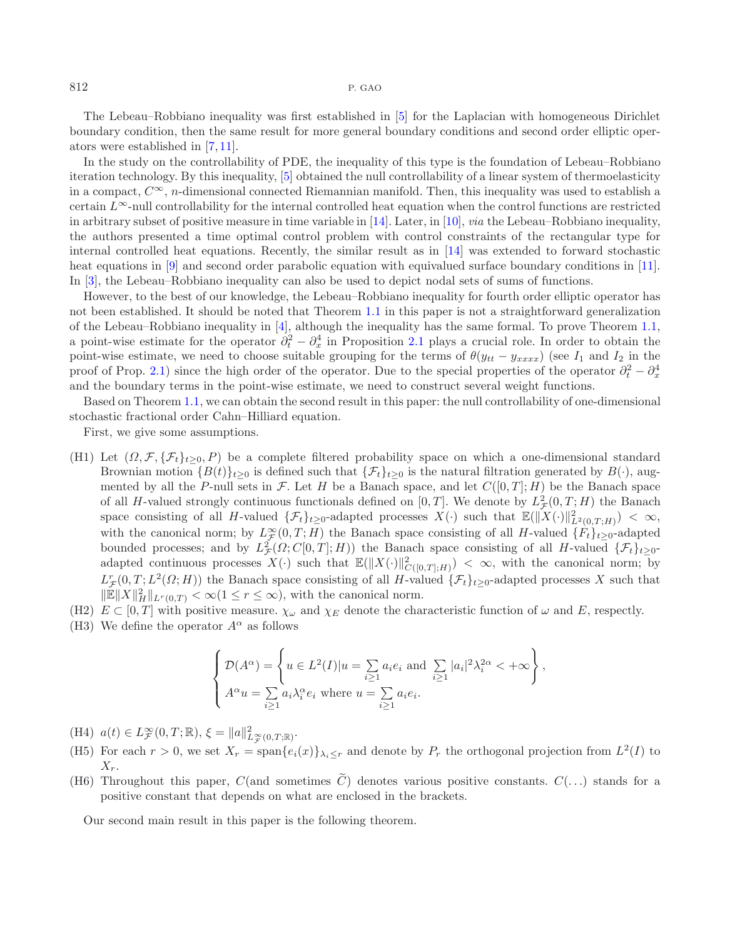The Lebeau–Robbiano inequality was first established in [\[5\]](#page-20-1) for the Laplacian with homogeneous Dirichlet boundary condition, then the same result for more general boundary conditions and second order elliptic operators were established in [\[7](#page-20-2), [11](#page-20-3)].

In the study on the controllability of PDE, the inequality of this type is the foundation of Lebeau–Robbiano iteration technology. By this inequality, [\[5](#page-20-1)] obtained the null controllability of a linear system of thermoelasticity in a compact,  $C^{\infty}$ , n-dimensional connected Riemannian manifold. Then, this inequality was used to establish a certain  $L^{\infty}$ -null controllability for the internal controlled heat equation when the control functions are restricted in arbitrary subset of positive measure in time variable in [\[14](#page-20-4)]. Later, in [\[10\]](#page-20-5), *via* the Lebeau–Robbiano inequality, the authors presented a time optimal control problem with control constraints of the rectangular type for internal controlled heat equations. Recently, the similar result as in [\[14](#page-20-4)] was extended to forward stochastic heat equations in [\[9\]](#page-20-6) and second order parabolic equation with equivalued surface boundary conditions in [\[11](#page-20-3)]. In [\[3\]](#page-20-7), the Lebeau–Robbiano inequality can also be used to depict nodal sets of sums of functions.

However, to the best of our knowledge, the Lebeau–Robbiano inequality for fourth order elliptic operator has not been established. It should be noted that Theorem [1.1](#page-0-0) in this paper is not a straightforward generalization of the Lebeau–Robbiano inequality in [\[4](#page-20-8)], although the inequality has the same formal. To prove Theorem [1.1,](#page-0-0) a point-wise estimate for the operator  $\partial_t^2 - \partial_x^4$  in Proposition [2.1](#page-2-0) plays a crucial role. In order to obtain the point-wise estimate, we need to choose suitable grouping for the terms of  $\theta(y_{tt} - y_{xxxx})$  (see  $I_1$  and  $I_2$  in the proof of Prop. [2.1\)](#page-2-0) since the high order of the operator. Due to the special properties of the operator  $\partial_t^2 - \partial_x^4$ and the boundary terms in the point-wise estimate, we need to construct several weight functions.

Based on Theorem [1.1,](#page-0-0) we can obtain the second result in this paper: the null controllability of one-dimensional stochastic fractional order Cahn–Hilliard equation.

First, we give some assumptions.

- (H1) Let  $(\Omega, \mathcal{F}, \{\mathcal{F}_t\}_{t>0}, P)$  be a complete filtered probability space on which a one-dimensional standard Brownian motion  ${B(t)}_{t\geq0}$  is defined such that  ${\{\mathcal{F}_t\}}_{t\geq0}$  is the natural filtration generated by  $B(\cdot)$ , augmented by all the P-null sets in F. Let H be a Banach space, and let  $C([0,T]; H)$  be the Banach space of all H-valued strongly continuous functionals defined on  $[0, T]$ . We denote by  $L^2(\mathcal{F}(0, T; H))$  the Banach space consisting of all H-valued  $\{\mathcal{F}_t\}_{t\geq 0}$ -adapted processes  $X(\cdot)$  such that  $\mathbb{E}(\|\tilde{X}(\cdot)\|_{L^2(0,T;H)}^2) < \infty$ , with the canonical norm; by  $L^{\infty}_{\mathcal{F}}(0,T;H)$  the Banach space consisting of all H-valued  $\{F_t\}_{t\geq 0}$ -adapted bounded processes; and by  $L^2_{\mathcal{F}}(\Omega; C[0,T]; H)$ ) the Banach space consisting of all H-valued  $\{\mathcal{F}_t\}_{t\geq 0}$ adapted continuous processes  $X(\cdot)$  such that  $\mathbb{E}(\|X(\cdot)\|_{C([0,T];H)}^2) < \infty$ , with the canonical norm; by  $L^r_{\mathcal{F}}(0,T;L^2(\Omega;H))$  the Banach space consisting of all H-valued  $\{\mathcal{F}_t\}_{t\geq 0}$ -adapted processes X such that  $\|\mathbb{E}\|X\|_H^2\|_{L^r(0,T)} < \infty(1 \leq r \leq \infty)$ , with the canonical norm.
- (H2)  $E \subset [0, T]$  with positive measure.  $\chi_{\omega}$  and  $\chi_E$  denote the characteristic function of  $\omega$  and E, respectly.
- (H3) We define the operator  $A^{\alpha}$  as follows

<span id="page-1-0"></span>
$$
\begin{cases}\n\mathcal{D}(A^{\alpha}) = \left\{ u \in L^{2}(I) | u = \sum_{i \geq 1} a_{i} e_{i} \text{ and } \sum_{i \geq 1} |a_{i}|^{2} \lambda_{i}^{2\alpha} < +\infty \right\}, \\
A^{\alpha} u = \sum_{i \geq 1} a_{i} \lambda_{i}^{\alpha} e_{i} \text{ where } u = \sum_{i \geq 1} a_{i} e_{i}.\n\end{cases}
$$

- (H4)  $a(t) \in L^{\infty}_{\mathcal{F}}(0,T;\mathbb{R}), \xi = ||a||^2_{L^{\infty}_{\mathcal{F}}(0,T;\mathbb{R})}.$
- (H5) For each  $r > 0$ , we set  $X_r = \text{span}\{e_i(x)\}_{\lambda_i \leq r}$  and denote by  $P_r$  the orthogonal projection from  $L^2(I)$  to  $X_r$ .
- (H6) Throughout this paper,  $C(\text{and sometimes }\widetilde{C})$  denotes various positive constants.  $C(\ldots)$  stands for a positive constant that depends on what are enclosed in the brackets.

Our second main result in this paper is the following theorem.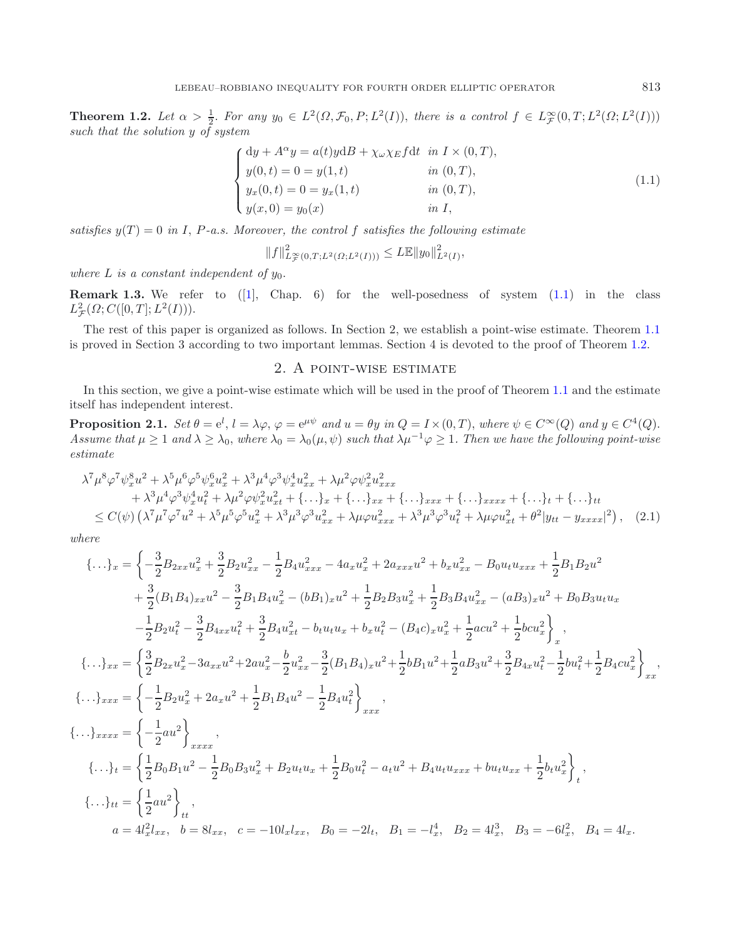<span id="page-2-1"></span>**Theorem 1.2.** Let  $\alpha > \frac{1}{2}$ . For any  $y_0 \in L^2(\Omega, \mathcal{F}_0, P; L^2(I))$ , there is a control  $f \in L^{\infty}_{\mathcal{F}}(0,T; L^2(\Omega; L^2(I)))$ *such that the solution* y *of system*

$$
\begin{cases}\n\mathrm{d}y + A^{\alpha}y = a(t)y\mathrm{d}B + \chi_{\omega}\chi_E f\mathrm{d}t & \text{in } I \times (0,T), \\
y(0,t) = 0 = y(1,t) & \text{in } (0,T), \\
y_x(0,t) = 0 = y_x(1,t) & \text{in } (0,T), \\
y(x,0) = y_0(x) & \text{in } I,\n\end{cases}
$$
\n(1.1)

<span id="page-2-0"></span>*satisfies*  $y(T) = 0$  *in* I, P-a.s. Moreover, the control f satisfies the following estimate

 $||f||_{L^{\infty}(0,T;L^2(\Omega;L^2(I)))}^2 \leq L\mathbb{E}||y_0||_{L^2(I)}^2,$ 

*where*  $L$  *is a constant independent of*  $y_0$ *.* 

**Remark 1.3.** We refer to  $(1)$ , Chap. 6) for the well-posedness of system  $(1.1)$  in the class  $L^2_{\mathcal{F}}(\Omega; C([0,T]; L^2(I))).$ 

The rest of this paper is organized as follows. In Section 2, we establish a point-wise estimate. Theorem [1.1](#page-0-0) is proved in Section 3 according to two important lemmas. Section 4 is devoted to the proof of Theorem [1.2.](#page-1-0)

#### <span id="page-2-2"></span>2. A point-wise estimate

In this section, we give a point-wise estimate which will be used in the proof of Theorem [1.1](#page-0-0) and the estimate itself has independent interest.

**Proposition 2.1.**  $Set \ \theta = e^l$ ,  $l = \lambda \varphi$ ,  $\varphi = e^{\mu \psi}$  and  $u = \theta y$  in  $Q = I \times (0, T)$ , where  $\psi \in C^{\infty}(Q)$  and  $y \in C^4(Q)$ . *Assume that*  $\mu \geq 1$  *and*  $\lambda \geq \lambda_0$ , *where*  $\lambda_0 = \lambda_0(\mu, \psi)$  *such that*  $\lambda \mu^{-1} \varphi \geq 1$ . Then we have the following point-wise *estimate*

$$
\lambda^{7} \mu^{8} \varphi^{7} \psi_{x}^{8} u^{2} + \lambda^{5} \mu^{6} \varphi^{5} \psi_{x}^{6} u_{x}^{2} + \lambda^{3} \mu^{4} \varphi^{3} \psi_{x}^{4} u_{xx}^{2} + \lambda \mu^{2} \varphi \psi_{x}^{2} u_{xxx}^{2} \n+ \lambda^{3} \mu^{4} \varphi^{3} \psi_{x}^{4} u_{t}^{2} + \lambda \mu^{2} \varphi \psi_{x}^{2} u_{xt}^{2} + \{\dots\}_{x} + \{\dots\}_{xx} + \{\dots\}_{xxx} + \{\dots\}_{x} + \{\dots\}_{t} + \{\dots\}_{tt} \n\leq C(\psi) \left( \lambda^{7} \mu^{7} \varphi^{7} u^{2} + \lambda^{5} \mu^{5} \varphi^{5} u_{x}^{2} + \lambda^{3} \mu^{3} \varphi^{3} u_{xx}^{2} + \lambda \mu \varphi u_{xxx}^{2} + \lambda^{3} \mu^{3} \varphi^{3} u_{t}^{2} + \lambda \mu \varphi u_{xt}^{2} + \theta^{2} |y_{tt} - y_{xxxx}|^{2} \right), \quad (2.1)
$$

*where*

$$
\{\ldots\}_x = \left\{ -\frac{3}{2}B_{2xx}u_x^2 + \frac{3}{2}B_{2}u_{xx}^2 - \frac{1}{2}B_{4}u_{xxx}^2 - 4a_{x}u_x^2 + 2a_{xxx}u^2 + b_{x}u_{xx}^2 - B_{0}u_{t}u_{xxx} + \frac{1}{2}B_{1}B_{2}u^2 + \frac{3}{2}(B_{1}B_{4})_{xxx}u^2 - \frac{3}{2}B_{1}B_{4}u_x^2 - (b_{1})_{x}u^2 + \frac{1}{2}B_{2}B_{3}u_x^2 + \frac{1}{2}B_{3}B_{4}u_{xx}^2 - (a_{3})_{x}u^2 + B_{0}B_{3}u_{t}u_{x} - \frac{1}{2}B_{2}u_{t}^2 - \frac{3}{2}B_{4xx}u_{t}^2 + \frac{3}{2}B_{4}u_{xt}^2 - b_{t}u_{t}u_{x} + b_{x}u_{t}^2 - (B_{4}c)_{x}u_{x}^2 + \frac{1}{2}acu^2 + \frac{1}{2}bcu_{x}^2\right\},
$$
  
\n
$$
\{\ldots\}_{xx} = \left\{\frac{3}{2}B_{2x}u_{x}^2 - 3a_{xxx}u^2 + 2au_{x}^2 - \frac{b}{2}u_{xx}^2 - \frac{3}{2}(B_{1}B_{4})_{x}u^2 + \frac{1}{2}b_{1}u^2 + \frac{1}{2}a_{3}u^2 + \frac{3}{2}B_{4x}u_{t}^2 - \frac{1}{2}bu_{t}^2 + \frac{1}{2}B_{4}cu_{x}^2\right\},
$$
  
\n
$$
\{\ldots\}_{xxx} = \left\{-\frac{1}{2}B_{2}u_{x}^2 + 2a_{x}u^2 + \frac{1}{2}B_{1}B_{4}u^2 - \frac{1}{2}B_{4}u_{t}^2\right\}_{xxx},
$$
  
\n
$$
\{\ldots\}_{xxx} = \left\{-\frac{1}{2}ba_{1}u^{2} - \frac{1}{2}ba_{2}u_{x}^2 + B_{2}u_{t}u_{x} + \frac{1}{2}b_{0}u_{t}^2 - a_{t}u^{2} + B_{4}u_{
$$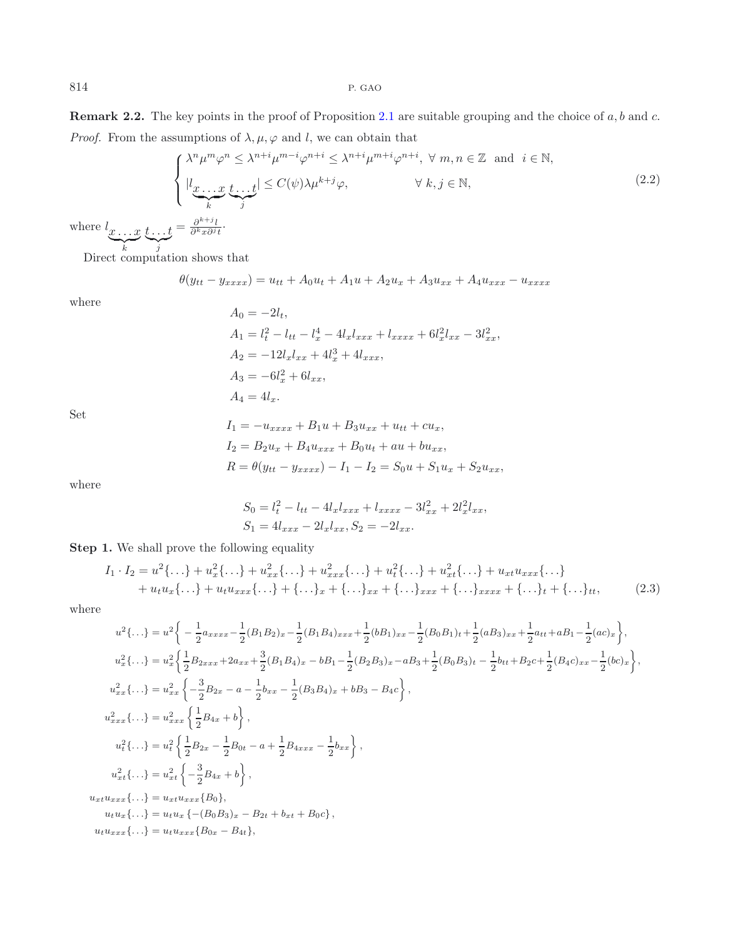**Remark 2.2.** The key points in the proof of Proposition [2.1](#page-2-0) are suitable grouping and the choice of  $a, b$  and  $c$ . *Proof.* From the assumptions of  $\lambda, \mu, \varphi$  and l, we can obtain that

<span id="page-3-1"></span>
$$
\begin{cases} \lambda^n \mu^m \varphi^n \leq \lambda^{n+i} \mu^{m-i} \varphi^{n+i} \leq \lambda^{n+i} \mu^{m+i} \varphi^{n+i}, \ \forall \ m, n \in \mathbb{Z} \text{ and } i \in \mathbb{N}, \\ |l_{\underbrace{\mathcal{X} \dots \mathcal{X}}_{k}} \underbrace{t \dots t}_{j} | \leq C(\psi) \lambda \mu^{k+j} \varphi, \qquad \forall \ k, j \in \mathbb{N}, \\ t = \frac{\partial^{k+j}}{\partial^k x \partial^j t}. \end{cases} \tag{2.2}
$$

where  $l_{x \ldots x}$  <sup>k</sup>  $t \ldots t$  $\int_{j}^{1}$  $=\frac{\partial^{k+j}l}{\partial^kx\partial^jt}\cdot$ 

Direct computation shows that

$$
\theta(y_{tt} - y_{xxxx}) = u_{tt} + A_0 u_t + A_1 u + A_2 u_x + A_3 u_{xx} + A_4 u_{xxx} - u_{xxxx}
$$

where

$$
A_0 = -2l_t,
$$
  
\n
$$
A_1 = l_t^2 - l_{tt} - l_x^4 - 4l_x l_{xxx} + l_{xxxx} + 6l_x^2 l_{xx} - 3l_{xx}^2,
$$
  
\n
$$
A_2 = -12l_x l_{xx} + 4l_x^3 + 4l_{xxx},
$$
  
\n
$$
A_3 = -6l_x^2 + 6l_{xx},
$$
  
\n
$$
A_4 = 4l_x.
$$

Set

<span id="page-3-0"></span>
$$
I_1 = -u_{xxxx} + B_1u + B_3u_{xx} + u_{tt} + cu_x,
$$
  
\n
$$
I_2 = B_2u_x + B_4u_{xxx} + B_0u_t + au + bu_{xx},
$$
  
\n
$$
R = \theta(y_{tt} - y_{xxxx}) - I_1 - I_2 = S_0u + S_1u_x + S_2u_{xx},
$$

where

 $S_0 = l_t^2 - l_{tt} - 4l_x l_{xxx} + l_{xxxx} - 3l_{xx}^2 + 2l_x^2 l_{xx},$  $S_1 = 4l_{xxx} - 2l_xl_{xx}, S_2 = -2l_{xx}.$ 

**Step 1.** We shall prove the following equality

$$
I_1 \cdot I_2 = u^2 \{ \dots \} + u_x^2 \{ \dots \} + u_{xx}^2 \{ \dots \} + u_{xxx}^2 \{ \dots \} + u_t^2 \{ \dots \} + u_{xt} \{ \dots \} + u_{xt} u_{xxx} \{ \dots \} + u_t u_x \{ \dots \} + u_t u_{xxx} \{ \dots \} + \{ \dots \}_x + \{ \dots \}_x + \{ \dots \}_x x + \{ \dots \}_x x + \{ \dots \}_x x + \{ \dots \}_t + \{ \dots \}_t + \{ \dots \}_t, \tag{2.3}
$$

where

$$
u^{2}\{\ldots\} = u^{2}\left\{-\frac{1}{2}a_{xxxx} - \frac{1}{2}(B_{1}B_{2})_{x} - \frac{1}{2}(B_{1}B_{4})_{xxx} + \frac{1}{2}(b_{1}B_{1})_{xx} - \frac{1}{2}(B_{0}B_{1})_{t} + \frac{1}{2}(a_{1}B_{3})_{xx} + \frac{1}{2}at_{t} + a_{1}B_{1} - \frac{1}{2}(ac)_{x}\right\},
$$
  
\n
$$
u_{x}^{2}\{\ldots\} = u_{x}^{2}\left\{\frac{1}{2}B_{2xxx} + 2a_{xx} + \frac{3}{2}(B_{1}B_{4})_{x} - b_{1} - \frac{1}{2}(B_{2}B_{3})_{x} - a_{1}B_{3} + \frac{1}{2}(B_{0}B_{3})_{t} - \frac{1}{2}b_{tt} + B_{2}c + \frac{1}{2}(B_{4}c)_{xx} - \frac{1}{2}(bc)_{x}\right\},
$$
  
\n
$$
u_{xx}^{2}\{\ldots\} = u_{xx}^{2}\left\{-\frac{3}{2}B_{2x} - a - \frac{1}{2}b_{xx} - \frac{1}{2}(B_{3}B_{4})_{x} + b_{1}B_{3} - B_{4}c\right\},
$$
  
\n
$$
u_{xx}^{2}\{\ldots\} = u_{xx}^{2}\left\{\frac{1}{2}B_{4x} + b\right\},
$$
  
\n
$$
u_{t}^{2}\{\ldots\} = u_{t}^{2}\left\{\frac{1}{2}B_{2x} - \frac{1}{2}B_{0t} - a + \frac{1}{2}B_{4xxx} - \frac{1}{2}b_{xx}\right\},
$$
  
\n
$$
u_{xt}u_{xxx}\{\ldots\} = u_{xt}^{2}\left\{-\frac{3}{2}B_{4x} + b\right\},
$$
  
\n
$$
u_{xt}u_{xxx}\{\ldots\} = u_{xt}u_{xxx}\{B_{0}\},
$$
  
\n
$$
u_{tt}u_{x}\{\ldots\} = u_{tt}u_{x}\{-(B_{0}B_{3})_{x} - B_{2t} + b_{xt} + B_{0}c\},
$$

 $u_t u_{xxx} \{ \ldots \} = u_t u_{xxx} \{ B_{0x} - B_{4t} \},$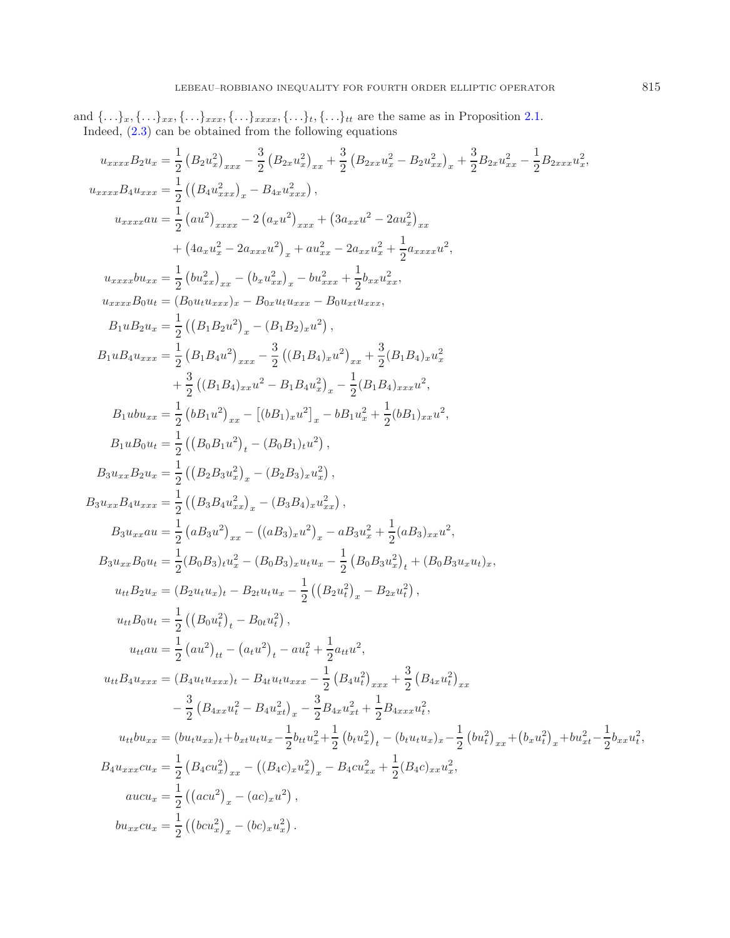and  $\{\ldots\}_x, \{\ldots\}_{xx}, \{\ldots\}_{xxx}, \{\ldots\}_{xxxx}, \{\ldots\}_t, \{\ldots\}_t$  are the same as in Proposition [2.1.](#page-2-0) Indeed, [\(2.3\)](#page-3-0) can be obtained from the following equations

$$
u_{xxxx}B_{2}u_{x}=\frac{1}{2}\left(B_{2}u_{x}^{2}\right)_{xxx}-\frac{3}{2}\left(B_{2x}u_{x}^{2}\right)_{xx}+\frac{3}{2}\left(B_{2xx}u_{x}^{2}-B_{2}u_{xx}^{2}\right)_{x}+\frac{3}{2}B_{2x}u_{xx}^{2}-\frac{1}{2}B_{2xxx}u_{x}^{2},
$$
\n
$$
u_{xxxx}u=\frac{1}{2}\left((B_{4}u_{xxxx}^{2})_{xxxx}-B_{4x}u_{xxx}^{2}\right),
$$
\n
$$
u_{xxxx}u=\frac{1}{2}\left(au^{2}\right)_{xxxx}2\left(a_{xx}u^{2}\right)_{xxx}+\left(3a_{xx}u^{2}-2a u_{x}^{2}\right)_{xx}
$$
\n
$$
+(4a_{x}u_{x}^{2}-2a_{xxx}u^{2})_{x}+a u_{xx}^{2}-2a_{xxx}u_{x}^{2}+\frac{1}{2}a_{xxxx}u^{2},
$$
\n
$$
u_{xxxx}b u_{xx}=\frac{1}{2}\left(bu_{xx}^{2}\right)_{xx}-\left(b_{x}u_{xxx}^{2}\right)_{x}-b u_{xxx}^{2}+\frac{1}{2}b_{x}u_{xx}^{2},
$$
\n
$$
u_{xxxx}b_{0}u_{u}=\left(B_{0}u_{x}u_{xx}^{2}\right)_{x}-\left(B_{0}u_{x}u_{xx}+\frac{1}{2}b_{xx}u_{xx}^{2}\right),
$$
\n
$$
B_{1}u_{x}u_{xxx}=\frac{1}{2}\left(\left(B_{1}B_{2}u^{2}\right)_{x}-\left(B_{1}B_{2}u^{2}\right)_{x}\right),
$$
\n
$$
B_{1}u_{x}u_{xxx}=\frac{1}{2}\left(\left(B_{1}B_{2}u^{2}\right)_{xx}-\frac{3}{2}\left(\left(B_{1}B_{4}\right)_{xx}u^{2}\right)_{x}+\frac{3}{2}\left(B_{1}B_{4}\right)_{xx}u^{2},
$$
\n
$$
B_{1}u_{x}u_{xxx}=\frac{1}{2}\left(\left(B_{1}B_{2}u^{2}\right)_{xx}-\left[\left(B_{1}B_{4}\right)_{x}u^{2}\right)_{x}-\frac{1}{2}\left(B_{1}B_{
$$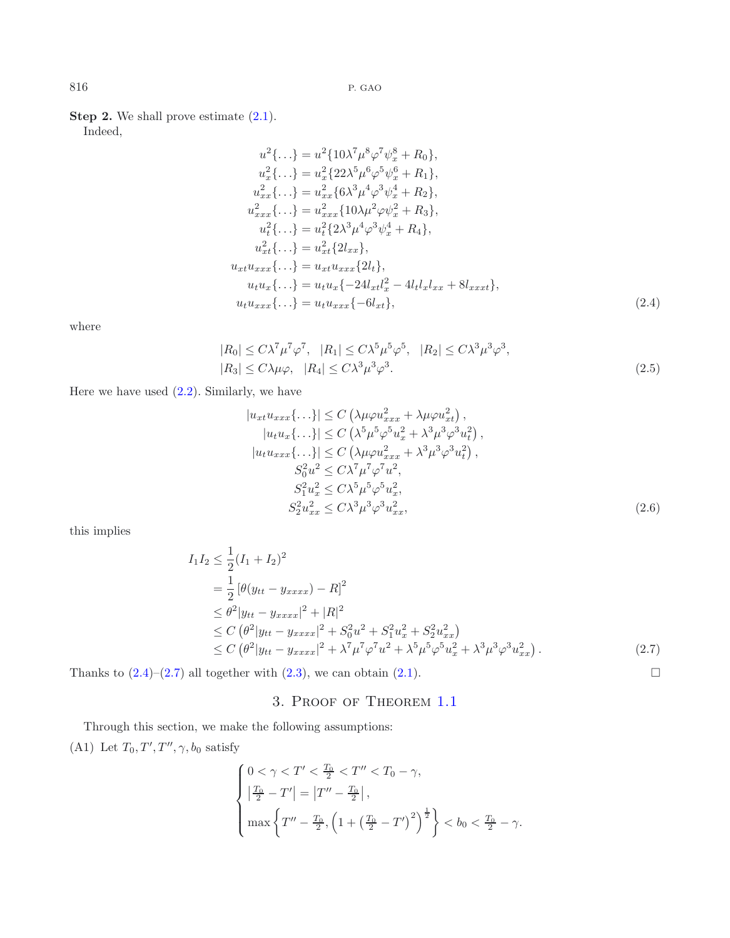**Step 2.** We shall prove estimate  $(2.1)$ .

Indeed,

<span id="page-5-0"></span>
$$
u^{2}\{... \} = u^{2}\{10\lambda^{7}\mu^{8}\varphi^{7}\psi_{x}^{8} + R_{0}\},
$$
  
\n
$$
u_{x}^{2}\{... \} = u_{x}^{2}\{22\lambda^{5}\mu^{6}\varphi^{5}\psi_{x}^{6} + R_{1}\},
$$
  
\n
$$
u_{xx}^{2}\{... \} = u_{xxx}^{2}\{6\lambda^{3}\mu^{4}\varphi^{3}\psi_{x}^{4} + R_{2}\},
$$
  
\n
$$
u_{xxx}^{2}\{... \} = u_{xxx}^{2}\{10\lambda\mu^{2}\varphi\psi_{x}^{2} + R_{3}\},
$$
  
\n
$$
u_{t}^{2}\{... \} = u_{t}^{2}\{2\lambda^{3}\mu^{4}\varphi^{3}\psi_{x}^{4} + R_{4}\},
$$
  
\n
$$
u_{xt}^{2}\{... \} = u_{xt}^{2}\{2l_{xx}\},
$$
  
\n
$$
u_{xt}u_{xxx}\{... \} = u_{xt}u_{xxx}\{2l_{t}\},
$$
  
\n
$$
u_{t}u_{x}\{... \} = u_{t}u_{x}\{-24l_{xt}l_{x}^{2} - 4l_{t}l_{x}l_{xx} + 8l_{xxt}\},
$$
  
\n
$$
u_{t}u_{xxx}\{... \} = u_{t}u_{xxx}\{-6l_{xt}\},
$$
  
\n(2.4)

where

$$
|R_0| \le C\lambda^7 \mu^7 \varphi^7, \quad |R_1| \le C\lambda^5 \mu^5 \varphi^5, \quad |R_2| \le C\lambda^3 \mu^3 \varphi^3,
$$
  

$$
|R_3| \le C\lambda \mu \varphi, \quad |R_4| \le C\lambda^3 \mu^3 \varphi^3.
$$
 (2.5)

Here we have used  $(2.2)$ . Similarly, we have

$$
|u_{xt}u_{xxx}\{\ldots\}| \le C\left(\lambda\mu\varphi u_{xxx}^2 + \lambda\mu\varphi u_{xt}^2\right),
$$
  
\n
$$
|u_tu_x\{\ldots\}| \le C\left(\lambda^5\mu^5\varphi^5 u_x^2 + \lambda^3\mu^3\varphi^3 u_t^2\right),
$$
  
\n
$$
|u_tu_{xxx}\{\ldots\}| \le C\left(\lambda\mu\varphi u_{xxx}^2 + \lambda^3\mu^3\varphi^3 u_t^2\right),
$$
  
\n
$$
S_0^2u^2 \le C\lambda^7\mu^7\varphi^7u^2,
$$
  
\n
$$
S_1^2u_x^2 \le C\lambda^5\mu^5\varphi^5u_x^2,
$$
  
\n
$$
S_2^2u_{xx}^2 \le C\lambda^3\mu^3\varphi^3u_{xx}^2,
$$
  
\n(2.6)

this implies

$$
I_1 I_2 \leq \frac{1}{2} (I_1 + I_2)^2
$$
  
=  $\frac{1}{2} [\theta(y_{tt} - y_{xxxx}) - R]^2$   
 $\leq \theta^2 | y_{tt} - y_{xxxx}|^2 + |R|^2$   
 $\leq C (\theta^2 | y_{tt} - y_{xxxx}|^2 + S_0^2 u^2 + S_1^2 u_x^2 + S_2^2 u_{xx}^2)$   
 $\leq C (\theta^2 | y_{tt} - y_{xxxx}|^2 + \lambda^7 \mu^7 \varphi^7 u^2 + \lambda^5 \mu^5 \varphi^5 u_x^2 + \lambda^3 \mu^3 \varphi^3 u_{xx}^2).$  (2.7)

<span id="page-5-1"></span> $\hfill \square$ 

Thanks to  $(2.4)$ – $(2.7)$  all together with  $(2.3)$ , we can obtain  $(2.1)$ .

### 3. Proof of Theorem [1.1](#page-0-0)

Through this section, we make the following assumptions: (A1) Let  $T_0, T', T'', \gamma, b_0$  satisfy

$$
\begin{cases} 0 < \gamma < T' < \frac{T_0}{2} < T'' < T_0 - \gamma, \\ \left| \frac{T_0}{2} - T' \right| = \left| T'' - \frac{T_0}{2} \right|, \\ \max \left\{ T'' - \frac{T_0}{2}, \left( 1 + \left( \frac{T_0}{2} - T' \right)^2 \right)^{\frac{1}{2}} \right\} < b_0 < \frac{T_0}{2} - \gamma. \end{cases}
$$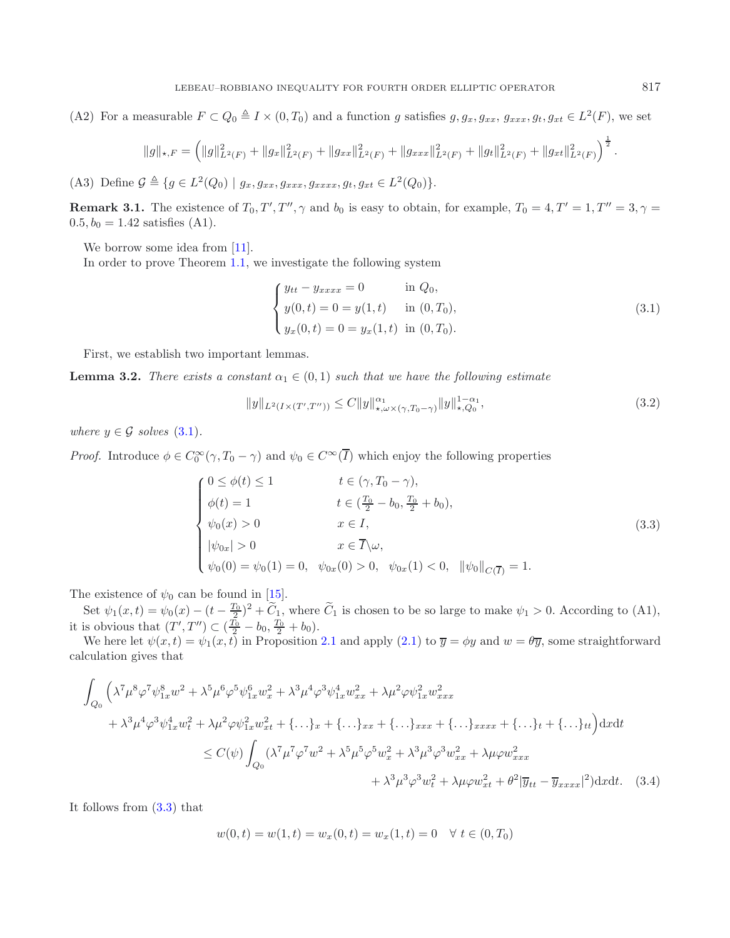(A2) For a measurable  $F \subset Q_0 \triangleq I \times (0, T_0)$  and a function g satisfies  $g, g_x, g_{xx}, g_{xxx}, g_t, g_{xt} \in L^2(F)$ , we set

<span id="page-6-4"></span><span id="page-6-0"></span>
$$
||g||_{\star,F} = \left(||g||_{L^2(F)}^2 + ||g_x||_{L^2(F)}^2 + ||g_{xx}||_{L^2(F)}^2 + ||g_{xxx}||_{L^2(F)}^2 + ||g_t||_{L^2(F)}^2 + ||g_{xt}||_{L^2(F)}^2\right)^{\frac{1}{2}}
$$

(A3) Define  $\mathcal{G} \triangleq \{g \in L^2(Q_0) \mid g_x, g_{xx}, g_{xxx}, g_{xxxx}, g_t, g_{xt} \in L^2(Q_0)\}.$ 

**Remark 3.1.** The existence of  $T_0, T', T'', \gamma$  and  $b_0$  is easy to obtain, for example,  $T_0 = 4, T' = 1, T'' = 3, \gamma =$  $0.5, b_0 = 1.42$  satisfies (A1).

We borrow some idea from [\[11](#page-20-3)].

In order to prove Theorem [1.1,](#page-0-0) we investigate the following system

$$
\begin{cases}\ny_{tt} - y_{xxxx} = 0 & \text{in } Q_0, \\
y(0, t) = 0 = y(1, t) & \text{in } (0, T_0), \\
y_x(0, t) = 0 = y_x(1, t) & \text{in } (0, T_0).\n\end{cases}
$$
\n(3.1)

First, we establish two important lemmas.

**Lemma 3.2.** *There exists a constant*  $\alpha_1 \in (0,1)$  *such that we have the following estimate* 

<span id="page-6-2"></span>
$$
||y||_{L^{2}(I\times(T',T''))} \leq C||y||_{\star,\omega\times(\gamma,T_{0}-\gamma)}^{\alpha_{1}}||y||_{\star,Q_{0}}^{1-\alpha_{1}},
$$
\n(3.2)

*where*  $y \in \mathcal{G}$  *solves* [\(3.1\)](#page-6-0)*.* 

*Proof.* Introduce  $\phi \in C_0^{\infty}(\gamma, T_0 - \gamma)$  and  $\psi_0 \in C^{\infty}(I)$  which enjoy the following properties

$$
\begin{cases}\n0 \leq \phi(t) \leq 1 & t \in (\gamma, T_0 - \gamma), \\
\phi(t) = 1 & t \in (\frac{T_0}{2} - b_0, \frac{T_0}{2} + b_0), \\
\psi_0(x) > 0 & x \in I, \\
|\psi_{0x}| > 0 & x \in \overline{I} \setminus \omega, \\
\psi_0(0) = \psi_0(1) = 0, & \psi_{0x}(0) > 0, & \psi_{0x}(1) < 0, \quad ||\psi_0||_{C(\overline{I})} = 1.\n\end{cases}
$$
\n(3.3)

The existence of  $\psi_0$  can be found in [\[15\]](#page-20-10).

Set  $\psi_1(x,t) = \psi_0(x) - (t - \frac{T_0}{2})^2 + \widetilde{C}_1$ , where  $\widetilde{C}_1$  is chosen to be so large to make  $\psi_1 > 0$ . According to (A1), it is obvious that  $(T', T'') \subset (\frac{T_0}{2} - b_0, \frac{T_0}{2} + b_0)$ .

We here let  $\psi(x,t) = \psi_1(x,t)$  in Proposition [2.1](#page-2-0) and apply [\(2.1\)](#page-2-2) to  $\overline{y} = \phi y$  and  $w = \theta \overline{y}$ , some straightforward calculation gives that

$$
\int_{Q_{0}} \left( \lambda^{7} \mu^{8} \varphi^{7} \psi_{1x}^{8} w^{2} + \lambda^{5} \mu^{6} \varphi^{5} \psi_{1x}^{6} w_{x}^{2} + \lambda^{3} \mu^{4} \varphi^{3} \psi_{1x}^{4} w_{xx}^{2} + \lambda \mu^{2} \varphi \psi_{1x}^{2} w_{xxx}^{2} + \lambda^{2} \mu^{2} \varphi \psi_{1x}^{2} w_{xxx}^{2} + \lambda^{3} \mu^{4} \varphi^{3} \psi_{1x}^{4} w_{t}^{2} + \lambda \mu^{2} \varphi \psi_{1x}^{2} w_{xt}^{2} + \{\dots\}_{xx} + \{\dots\}_{xxx} + \{\dots\}_{xxxx} + \{\dots\}_{tt} + \{\dots\}_{tt} \} dx dt
$$
  

$$
\leq C(\psi) \int_{Q_{0}} (\lambda^{7} \mu^{7} \varphi^{7} w^{2} + \lambda^{5} \mu^{5} \varphi^{5} w_{x}^{2} + \lambda^{3} \mu^{3} \varphi^{3} w_{xx}^{2} + \lambda \mu \varphi w_{xxx}^{2} + \lambda^{2} \mu \varphi w_{xx}^{2} + \theta^{2} |\overline{y}_{tt} - \overline{y}_{xxxx}|^{2}) dx dt. \quad (3.4)
$$

It follows from [\(3.3\)](#page-6-1) that

$$
w(0,t) = w(1,t) = w_x(0,t) = w_x(1,t) = 0 \quad \forall \ t \in (0,T_0)
$$

<span id="page-6-3"></span><span id="page-6-1"></span>.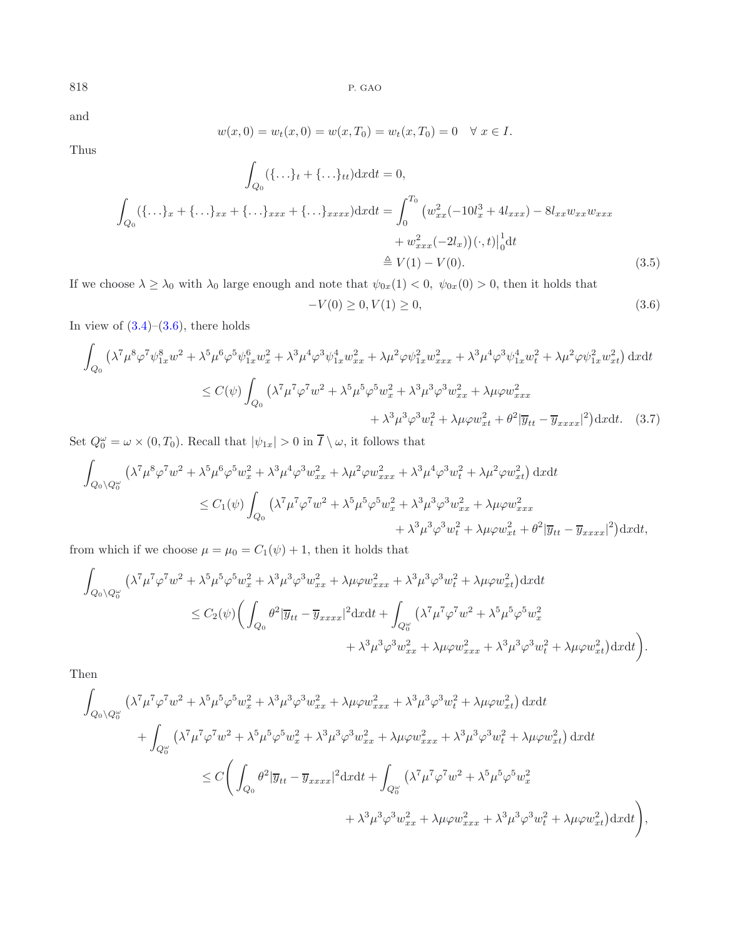and

$$
w(x, 0) = w_t(x, 0) = w(x, T_0) = w_t(x, T_0) = 0 \quad \forall x \in I.
$$

Thus

$$
\int_{Q_0} (\{\ldots\}_t + \{\ldots\}_t) \mathrm{d}x \mathrm{d}t = 0,
$$
\n
$$
\int_{Q_0} (\{\ldots\}_x + \{\ldots\}_x + \{\ldots\}_x x + \{\ldots\}_x x x) \mathrm{d}x \mathrm{d}t = \int_0^{T_0} \left( w_{xx}^2 (-10l_x^3 + 4l_{xxx}) - 8l_{xx} w_{xx} w_{xxx} + w_{xxx}^2 (-2l_x) \right) (\cdot, t) \Big|_0^1 \mathrm{d}t
$$
\n
$$
= V(1) - V(0).
$$
\n(3.5)

If we choose  $\lambda \geq \lambda_0$  with  $\lambda_0$  large enough and note that  $\psi_{0x}(1) < 0$ ,  $\psi_{0x}(0) > 0$ , then it holds that

<span id="page-7-0"></span>
$$
-V(0) \ge 0, V(1) \ge 0,\tag{3.6}
$$

In view of  $(3.4)$ – $(3.6)$ , there holds

$$
\int_{Q_0} \left( \lambda^7 \mu^8 \varphi^7 \psi_{1x}^8 w^2 + \lambda^5 \mu^6 \varphi^5 \psi_{1x}^6 w_x^2 + \lambda^3 \mu^4 \varphi^3 \psi_{1x}^4 w_{xx}^2 + \lambda \mu^2 \varphi \psi_{1x}^2 w_{xxx}^2 + \lambda^3 \mu^4 \varphi^3 \psi_{1x}^4 w_t^2 + \lambda \mu^2 \varphi \psi_{1x}^2 w_{xt}^2 \right) dx dt
$$
  
\n
$$
\leq C(\psi) \int_{Q_0} \left( \lambda^7 \mu^7 \varphi^7 w^2 + \lambda^5 \mu^5 \varphi^5 w_x^2 + \lambda^3 \mu^3 \varphi^3 w_{xx}^2 + \lambda \mu \varphi w_{xxx}^2 + \lambda^2 \mu^2 \psi_{1x}^2 w_{xx}^2 \right) dx dt.
$$
 (3.7)

Set  $Q_0^{\omega} = \omega \times (0, T_0)$ . Recall that  $|\psi_{1x}| > 0$  in  $\overline{I} \setminus \omega$ , it follows that

$$
\int_{Q_0 \setminus Q_0^{\omega}} \left( \lambda^7 \mu^8 \varphi^7 w^2 + \lambda^5 \mu^6 \varphi^5 w_x^2 + \lambda^3 \mu^4 \varphi^3 w_{xx}^2 + \lambda \mu^2 \varphi w_{xxx}^2 + \lambda^3 \mu^4 \varphi^3 w_t^2 + \lambda \mu^2 \varphi w_{xt}^2 \right) dx dt
$$
\n
$$
\leq C_1(\psi) \int_{Q_0} \left( \lambda^7 \mu^7 \varphi^7 w^2 + \lambda^5 \mu^5 \varphi^5 w_x^2 + \lambda^3 \mu^3 \varphi^3 w_{xx}^2 + \lambda \mu \varphi w_{xxx}^2 + \lambda^4 \mu^2 \overline{y}_{tt} - \overline{y}_{xxxx} \right)^2 \right) dx dt,
$$

from which if we choose  $\mu=\mu_0=C_1(\psi)+1,$  then it holds that

$$
\int_{Q_0 \setminus Q_0^{\omega}} \left( \lambda^7 \mu^7 \varphi^7 w^2 + \lambda^5 \mu^5 \varphi^5 w_x^2 + \lambda^3 \mu^3 \varphi^3 w_{xx}^2 + \lambda \mu \varphi w_{xxx}^2 + \lambda^3 \mu^3 \varphi^3 w_t^2 + \lambda \mu \varphi w_{xt}^2 \right) dx dt
$$
  
\n
$$
\leq C_2(\psi) \bigg( \int_{Q_0} \theta^2 |\overline{y}_{tt} - \overline{y}_{xxxx}|^2 dx dt + \int_{Q_0^{\omega}} \left( \lambda^7 \mu^7 \varphi^7 w^2 + \lambda^5 \mu^5 \varphi^5 w_x^2 + \lambda^3 \mu^3 \varphi^3 w_x^2 + \lambda \mu \varphi w_{xt}^2 \right) dx dt \bigg).
$$

Then

$$
\int_{Q_0 \setminus Q_0^{\omega}} \left( \lambda^7 \mu^7 \varphi^7 w^2 + \lambda^5 \mu^5 \varphi^5 w_x^2 + \lambda^3 \mu^3 \varphi^3 w_{xx}^2 + \lambda \mu \varphi w_{xxx}^2 + \lambda^3 \mu^3 \varphi^3 w_t^2 + \lambda \mu \varphi w_{xt}^2 \right) dx dt + \int_{Q_0^{\omega}} \left( \lambda^7 \mu^7 \varphi^7 w^2 + \lambda^5 \mu^5 \varphi^5 w_x^2 + \lambda^3 \mu^3 \varphi^3 w_{xx}^2 + \lambda \mu \varphi w_{xxx}^2 + \lambda^3 \mu^3 \varphi^3 w_t^2 + \lambda \mu \varphi w_{xt}^2 \right) dx dt \n\leq C \Bigg( \int_{Q_0} \theta^2 |\overline{y}_{tt} - \overline{y}_{xxxx}|^2 dx dt + \int_{Q_0^{\omega}} \left( \lambda^7 \mu^7 \varphi^7 w^2 + \lambda^5 \mu^5 \varphi^5 w_x^2 + \lambda^3 \mu^3 \varphi^3 w_t^2 + \lambda \mu \varphi w_{xt}^2 \right) dx dt \Bigg),
$$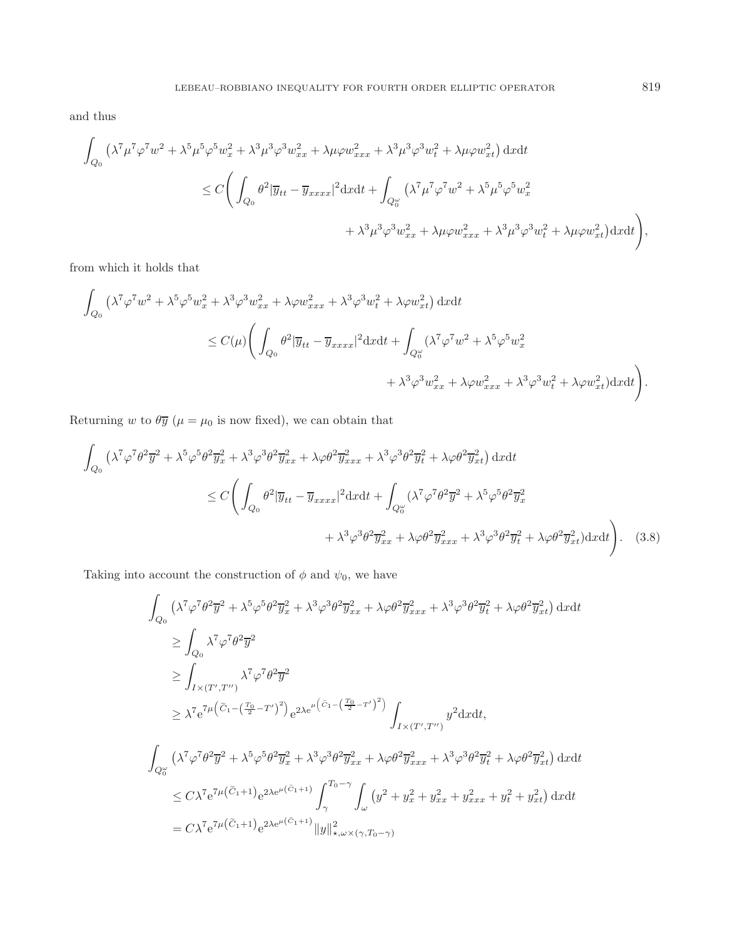and thus

$$
\int_{Q_0} \left( \lambda^7 \mu^7 \varphi^7 w^2 + \lambda^5 \mu^5 \varphi^5 w_x^2 + \lambda^3 \mu^3 \varphi^3 w_{xx}^2 + \lambda \mu \varphi w_{xxx}^2 + \lambda^3 \mu^3 \varphi^3 w_t^2 + \lambda \mu \varphi w_{xt}^2 \right) dx dt
$$
  
\n
$$
\leq C \Bigg( \int_{Q_0} \theta^2 |\overline{y}_{tt} - \overline{y}_{xxxx}|^2 dx dt + \int_{Q_0^{\omega}} \left( \lambda^7 \mu^7 \varphi^7 w^2 + \lambda^5 \mu^5 \varphi^5 w_x^2 + \lambda^3 \mu^3 \varphi^3 w_x^2 + \lambda \mu \varphi w_{xt}^2 \right) dx dt \Bigg),
$$
  
\n
$$
+ \lambda^3 \mu^3 \varphi^3 w_{xx}^2 + \lambda \mu \varphi w_{xxx}^2 + \lambda^3 \mu^3 \varphi^3 w_t^2 + \lambda \mu \varphi w_{xt}^2 \Big) dx dt \Bigg),
$$

from which it holds that

<span id="page-8-0"></span>
$$
\int_{Q_0} (\lambda^7 \varphi^7 w^2 + \lambda^5 \varphi^5 w_x^2 + \lambda^3 \varphi^3 w_{xx}^2 + \lambda \varphi w_{xxx}^2 + \lambda^3 \varphi^3 w_t^2 + \lambda \varphi w_{xt}^2) \, dxdt
$$
\n
$$
\leq C(\mu) \Bigg( \int_{Q_0} \theta^2 |\overline{y}_{tt} - \overline{y}_{xxxx}|^2 dxdt + \int_{Q_0^{\omega}} (\lambda^7 \varphi^7 w^2 + \lambda^5 \varphi^5 w_x^2 + \lambda^4 \varphi^3 w_{xx}^2 + \lambda \varphi w_{xxx}^2 + \lambda \varphi w_{xx}^2 + \lambda \varphi w_{xt}^2) dxdt \Bigg).
$$

Returning w to  $\theta \overline{y}$  ( $\mu = \mu_0$  is now fixed), we can obtain that

$$
\int_{Q_0} \left( \lambda^7 \varphi^7 \theta^2 \overline{y}^2 + \lambda^5 \varphi^5 \theta^2 \overline{y}_x^2 + \lambda^3 \varphi^3 \theta^2 \overline{y}_{xx}^2 + \lambda \varphi \theta^2 \overline{y}_{xxx}^2 + \lambda^3 \varphi^3 \theta^2 \overline{y}_t^2 + \lambda \varphi \theta^2 \overline{y}_{xt}^2 \right) dx dt
$$
\n
$$
\leq C \Bigg( \int_{Q_0} \theta^2 |\overline{y}_{tt} - \overline{y}_{xxx}|^2 dx dt + \int_{Q_0^{\omega}} (\lambda^7 \varphi^7 \theta^2 \overline{y}^2 + \lambda^5 \varphi^5 \theta^2 \overline{y}_x^2 + \lambda^4 \varphi \theta^2 \overline{y}_{xx}^2 + \lambda \varphi \theta^2 \overline{y}_{xx}^2 + \lambda \varphi \theta^2 \overline{y}_{xt}^2) dx dt \Bigg). \quad (3.8)
$$

Taking into account the construction of  $\phi$  and  $\psi_0,$  we have

$$
\int_{Q_0} \left( \lambda^7 \varphi^7 \theta^2 \overline{y}^2 + \lambda^5 \varphi^5 \theta^2 \overline{y}_x^2 + \lambda^3 \varphi^3 \theta^2 \overline{y}_{xx}^2 + \lambda \varphi \theta^2 \overline{y}_{xxx}^2 + \lambda^3 \varphi^3 \theta^2 \overline{y}_t^2 + \lambda \varphi \theta^2 \overline{y}_{xt}^2 \right) dx dt
$$
\n
$$
\geq \int_{Q_0} \lambda^7 \varphi^7 \theta^2 \overline{y}^2
$$
\n
$$
\geq \int_{I \times (T',T'')} \lambda^7 \varphi^7 \theta^2 \overline{y}^2
$$
\n
$$
\geq \lambda^7 e^{7\mu \left( \widetilde{C}_1 - \left( \frac{T_0}{2} - T' \right)^2 \right)} e^{2\lambda e^{\mu \left( \widetilde{C}_1 - \left( \frac{T_0}{2} - T' \right)^2 \right)}} \int_{I \times (T',T'')} y^2 dx dt,
$$
\n
$$
\int_{Q_0^{\omega}} \left( \lambda^7 \varphi^7 \theta^2 \overline{y}^2 + \lambda^5 \varphi^5 \theta^2 \overline{y}_x^2 + \lambda^3 \varphi^3 \theta^2 \overline{y}_{xx}^2 + \lambda \varphi \theta^2 \overline{y}_{xxx}^2 + \lambda^3 \varphi^3 \theta^2 \overline{y}_t^2 + \lambda \varphi \theta^2 \overline{y}_{xt}^2 \right) dx dt
$$
\n
$$
\leq C \lambda^7 e^{7\mu \left( \widetilde{C}_1 + 1 \right)} e^{2\lambda e^{\mu \left( \widetilde{C}_1 + 1 \right)}} \int_{\gamma}^{T_0 - \gamma} \int_{\omega} \left( y^2 + y_x^2 + y_{xx}^2 + y_{xxx}^2 + y_t^2 + y_{xt}^2 \right) dx dt
$$
\n
$$
= C \lambda^7 e^{7\mu \left( \widetilde{C}_1 + 1 \right)} e^{2\lambda e^{\mu \left( \widetilde{C}_1 + 1 \right)}} \|y\|_{\star, \omega \times (\gamma, T_0 - \gamma)}^2
$$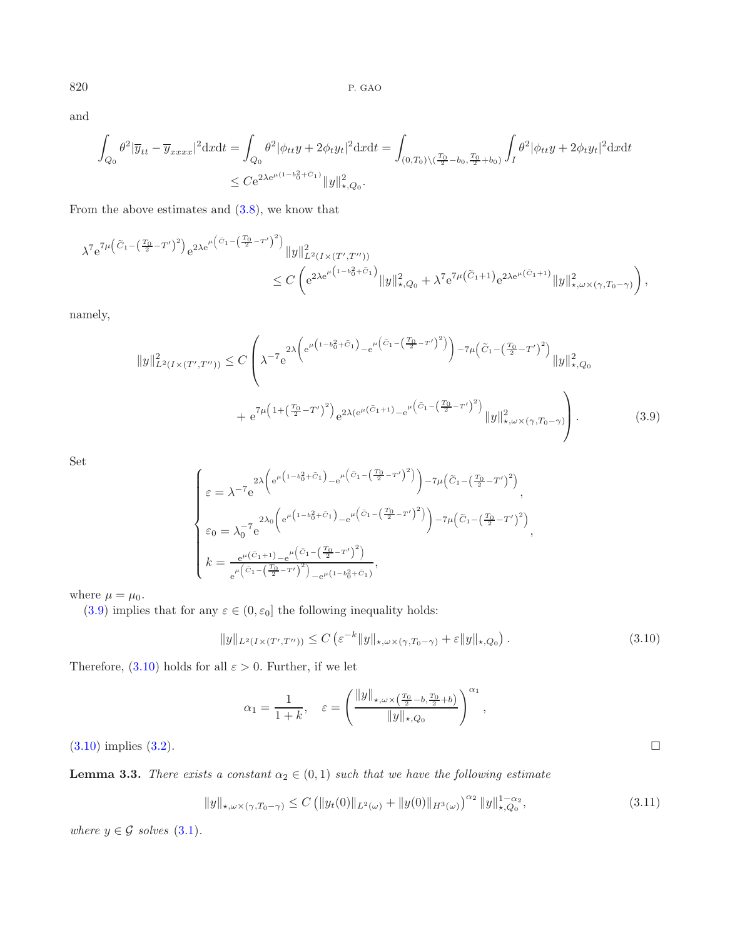and

$$
\int_{Q_0} \theta^2 |\overline{y}_{tt} - \overline{y}_{xxxx}|^2 dxdt = \int_{Q_0} \theta^2 |\phi_{tt} y + 2\phi_t y_t|^2 dxdt = \int_{(0,T_0)\backslash (\frac{T_0}{2} - b_0, \frac{T_0}{2} + b_0)} \int_I \theta^2 |\phi_{tt} y + 2\phi_t y_t|^2 dxdt
$$
  

$$
\leq C e^{2\lambda e^{\mu(1 - b_0^2 + \tilde{C}_1)} ||y||_{\star, Q_0}^2}.
$$

From the above estimates and [\(3.8\)](#page-8-0), we know that

$$
\begin{split} \lambda^{7} e^{7\mu \left(\tilde{C}_{1}-\left(\frac{T_{0}}{2}-T^{\prime}\right)^{2}\right)}e^{2\lambda e^{\mu \left(\tilde{C}_{1}-\left(\frac{T_{0}}{2}-T^{\prime}\right)^{2}\right)}}\|y\|_{L^{2}\left(I\times(T^{\prime},T^{\prime\prime})\right)}^{2}\\ &\leq C\left(e^{2\lambda e^{\mu \left(1-b_{0}^{2}+\tilde{C}_{1}\right)}}\|y\|_{\star,Q_{0}}^{2}+\lambda^{7} e^{7\mu \left(\tilde{C}_{1}+1\right)}e^{2\lambda e^{\mu \left(\tilde{C}_{1}+1\right)}}\|y\|_{\star,\omega\times(\gamma,T_{0}-\gamma)}^{2}\right), \end{split}
$$

namely,

$$
||y||_{L^{2}(I\times(T',T''))}^{2} \leq C \left( \lambda^{-7} e^{2\lambda \left( e^{\mu\left(1-b_{0}^{2}+\tilde{C}_{1}\right)} - e^{\mu\left(\tilde{C}_{1}-\left(\frac{T_{0}}{2}-T'\right)^{2}\right)}\right) - 7\mu\left(\tilde{C}_{1}-\left(\frac{T_{0}}{2}-T'\right)^{2}\right)} ||y||_{\star,Q_{0}}^{2}
$$

$$
+ e^{7\mu\left(1+\left(\frac{T_{0}}{2}-T'\right)^{2}\right)} e^{2\lambda(e^{\mu\left(\tilde{C}_{1}+1\right)} - e^{\mu\left(\tilde{C}_{1}-\left(\frac{T_{0}}{2}-T'\right)^{2}\right)} ||y||_{\star,\omega\times(\gamma,T_{0}-\gamma)}^{2}}\right).
$$
(3.9)

Set

<span id="page-9-1"></span><span id="page-9-0"></span>
$$
\begin{cases} \varepsilon = \lambda^{-7} e^{2\lambda \left(e^{\mu \left(1 - b_0^2 + \tilde{C}_1\right)} - e^{\mu \left(\tilde{C}_1 - \left(\frac{T_0}{2} - T'\right)^2\right)}\right) - 7\mu \left(\tilde{C}_1 - \left(\frac{T_0}{2} - T'\right)^2\right)}, \\ \varepsilon_0 = \lambda_0^{-7} e^{2\lambda_0 \left(e^{\mu \left(1 - b_0^2 + \tilde{C}_1\right)} - e^{\mu \left(\tilde{C}_1 - \left(\frac{T_0}{2} - T'\right)^2\right)}\right) - 7\mu \left(\tilde{C}_1 - \left(\frac{T_0}{2} - T'\right)^2\right)}, \\ k = \frac{e^{\mu \left(\tilde{C}_1 + 1\right) - e^{\mu \left(\tilde{C}_1 - \left(\frac{T_0}{2} - T'\right)^2\right)}}{e^{\mu \left(\tilde{C}_1 - \left(\frac{T_0}{2} - T'\right)^2\right)} - e^{\mu \left(1 - b_0^2 + \tilde{C}_1\right)}}, \end{cases}
$$

where  $\mu = \mu_0$ .

[\(3.9\)](#page-9-0) implies that for any  $\varepsilon\in(0,\varepsilon_0]$  the following inequality holds:

$$
||y||_{L^{2}(I\times(T',T''))} \leq C\left(\varepsilon^{-k}||y||_{\star,\omega\times(\gamma,T_{0}-\gamma)}+\varepsilon||y||_{\star,Q_{0}}\right).
$$
\n(3.10)

Therefore,  $(3.10)$  holds for all  $\varepsilon > 0$ . Further, if we let

$$
\alpha_1 = \frac{1}{1+k}, \quad \varepsilon = \left(\frac{\|y\|_{\star,\omega \times (\frac{T_0}{2} - b, \frac{T_0}{2} + b)}}{\|y\|_{\star,Q_0}}\right)^{\alpha_1},
$$

 $(3.10)$  implies  $(3.2)$ .

<span id="page-9-2"></span>**Lemma 3.3.** *There exists a constant*  $\alpha_2 \in (0,1)$  *such that we have the following estimate* 

$$
||y||_{\star,\omega\times(\gamma,T_0-\gamma)} \leq C \left( ||y_t(0)||_{L^2(\omega)} + ||y(0)||_{H^3(\omega)} \right)^{\alpha_2} ||y||_{\star,Q_0}^{1-\alpha_2},\tag{3.11}
$$

*where*  $y \in \mathcal{G}$  *solves* [\(3.1\)](#page-6-0)*.*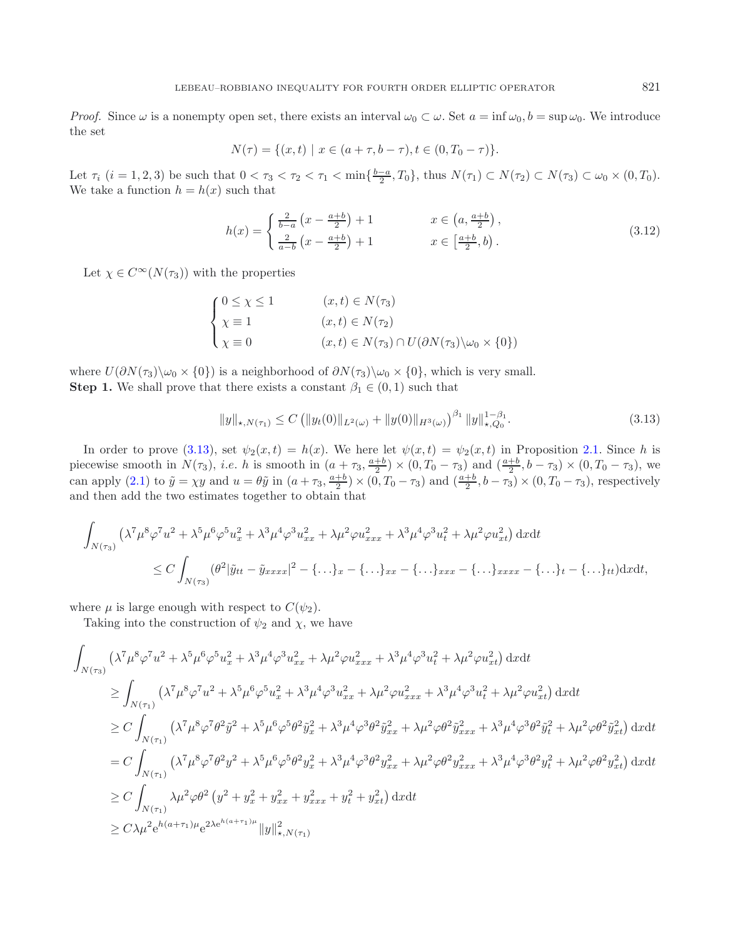*Proof.* Since  $\omega$  is a nonempty open set, there exists an interval  $\omega_0 \subset \omega$ . Set  $a = \inf \omega_0, b = \sup \omega_0$ . We introduce the set

$$
N(\tau) = \{(x, t) \mid x \in (a + \tau, b - \tau), t \in (0, T_0 - \tau)\}.
$$

Let  $\tau_i$   $(i = 1, 2, 3)$  be such that  $0 < \tau_3 < \tau_2 < \tau_1 < \min\{\frac{b-a}{2}, T_0\}$ , thus  $N(\tau_1) \subset N(\tau_2) \subset N(\tau_3) \subset \omega_0 \times (0, T_0)$ . We take a function  $h = h(x)$  such that

<span id="page-10-0"></span>
$$
h(x) = \begin{cases} \frac{2}{b-a} \left( x - \frac{a+b}{2} \right) + 1 & x \in \left( a, \frac{a+b}{2} \right), \\ \frac{2}{a-b} \left( x - \frac{a+b}{2} \right) + 1 & x \in \left[ \frac{a+b}{2}, b \right). \end{cases}
$$
 (3.12)

Let  $\chi \in C^{\infty}(N(\tau_3))$  with the properties

$$
\begin{cases}\n0 \le \chi \le 1 & (x, t) \in N(\tau_3) \\
\chi \equiv 1 & (x, t) \in N(\tau_2) \\
\chi \equiv 0 & (x, t) \in N(\tau_3) \cap U(\partial N(\tau_3) \setminus \omega_0 \times \{0\})\n\end{cases}
$$

where  $U(\partial N(\tau_3)\setminus\omega_0\times\{0\})$  is a neighborhood of  $\partial N(\tau_3)\setminus\omega_0\times\{0\}$ , which is very small. **Step 1.** We shall prove that there exists a constant  $\beta_1 \in (0,1)$  such that

$$
||y||_{\star, N(\tau_1)} \le C \left( ||y_t(0)||_{L^2(\omega)} + ||y(0)||_{H^3(\omega)} \right)^{\beta_1} ||y||_{\star, Q_0}^{1-\beta_1}.
$$
\n(3.13)

In order to prove [\(3.13\)](#page-10-0), set  $\psi_2(x,t) = h(x)$ . We here let  $\psi(x,t) = \psi_2(x,t)$  in Proposition [2.1.](#page-2-0) Since h is piecewise smooth in  $N(\tau_3)$ , *i.e.* h is smooth in  $(a + \tau_3, \frac{a+b}{2}) \times (0, T_0 - \tau_3)$  and  $(\frac{a+b}{2}, b - \tau_3) \times (0, T_0 - \tau_3)$ , we can apply [\(2.1\)](#page-2-2) to  $\tilde{y} = \chi y$  and  $u = \theta \tilde{y}$  in  $(a + \tau_3, \frac{a+b}{2}) \times (0, T_0 - \tau_3)$  and  $(\frac{a+b}{2}, b-\tau_3) \times (0, T_0 - \tau_3)$ , respectively and then add the two estimates together to obtain that

$$
\int_{N(\tau_3)} \left( \lambda^7 \mu^8 \varphi^7 u^2 + \lambda^5 \mu^6 \varphi^5 u_x^2 + \lambda^3 \mu^4 \varphi^3 u_{xx}^2 + \lambda \mu^2 \varphi u_{xxx}^2 + \lambda^3 \mu^4 \varphi^3 u_t^2 + \lambda \mu^2 \varphi u_{xt}^2 \right) dx dt
$$
\n
$$
\leq C \int_{N(\tau_3)} (\theta^2 |\tilde{y}_{tt} - \tilde{y}_{xxxx}|^2 - \{\dots\}_x - \{\dots\}_{xxx} - \{\dots\}_{xxxx} - \{\dots\}_{xxxx} - \{\dots\}_t - \{\dots\}_t) dx dt,
$$

where  $\mu$  is large enough with respect to  $C(\psi_2)$ .

Taking into the construction of  $\psi_2$  and  $\chi$ , we have

$$
\int_{N(\tau_{3})} (\lambda^{7} \mu^{8} \varphi^{7} u^{2} + \lambda^{5} \mu^{6} \varphi^{5} u_{x}^{2} + \lambda^{3} \mu^{4} \varphi^{3} u_{xx}^{2} + \lambda \mu^{2} \varphi u_{xxx}^{2} + \lambda^{3} \mu^{4} \varphi^{3} u_{t}^{2} + \lambda \mu^{2} \varphi u_{xt}^{2}) \, dxdt
$$
\n
$$
\geq \int_{N(\tau_{1})} (\lambda^{7} \mu^{8} \varphi^{7} u^{2} + \lambda^{5} \mu^{6} \varphi^{5} u_{x}^{2} + \lambda^{3} \mu^{4} \varphi^{3} u_{xx}^{2} + \lambda \mu^{2} \varphi u_{xxx}^{2} + \lambda \mu^{2} \varphi u_{xt}^{2}) \, dxdt
$$
\n
$$
\geq C \int_{N(\tau_{1})} (\lambda^{7} \mu^{8} \varphi^{7} \theta^{2} \tilde{y}^{2} + \lambda^{5} \mu^{6} \varphi^{5} \theta^{2} \tilde{y}_{x}^{2} + \lambda^{3} \mu^{4} \varphi^{3} \theta^{2} \tilde{y}_{xx}^{2} + \lambda \mu^{2} \varphi \theta^{2} \tilde{y}_{xx}^{2} + \lambda^{3} \mu^{4} \varphi^{3} \theta^{2} \tilde{y}_{t}^{2} + \lambda \mu^{2} \varphi \theta^{2} \tilde{y}_{xt}^{2}) \, dxdt
$$
\n
$$
= C \int_{N(\tau_{1})} (\lambda^{7} \mu^{8} \varphi^{7} \theta^{2} y^{2} + \lambda^{5} \mu^{6} \varphi^{5} \theta^{2} y_{x}^{2} + \lambda^{3} \mu^{4} \varphi^{3} \theta^{2} y_{xxx}^{2} + \lambda^{3} \mu^{4} \varphi^{3} \theta^{2} y_{t}^{2} + \lambda \mu^{2} \varphi \theta^{2} y_{xt}^{2}) \, dxdt
$$
\n
$$
\geq C \int_{N(\tau_{1})} \lambda \mu^{2} \varphi \theta^{2} (y^{2} + y_{x}^{2} + y_{xx}^{2} + y_{xxx}^{2} + y_{xt}^{2}) \, dxdt
$$
\n
$$
\geq C \lambda \mu^{2} e^{h(a + \tau_{1})\mu} e^{2\lambda
$$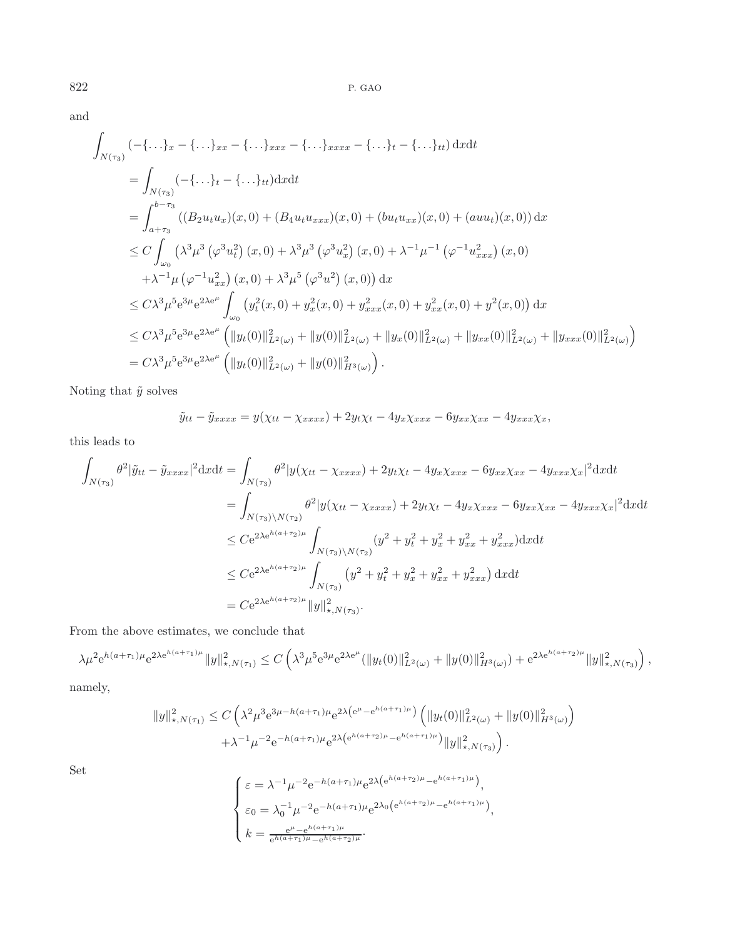and

$$
\int_{N(\tau_3)} (-\{\dots\}_x - \{\dots\}_x - \{\dots\}_x x - \{\dots\}_x x x - \{\dots\}_t - \{\dots\}_t) \,dxdt
$$
\n
$$
= \int_{N(\tau_3)} (-\{\dots\}_t - \{\dots\}_t) \,dxdt
$$
\n
$$
= \int_{a+\tau_3} (-\{\dots\}_t - \{\dots\}_t) \,dxdt
$$
\n
$$
= \int_{a+\tau_3}^{b-\tau_3} ((B_2 u_t u_x)(x, 0) + (B_4 u_t u_{xxx})(x, 0) + (b u_t u_{xx})(x, 0) + (au u_t)(x, 0)) \,dx
$$
\n
$$
\leq C \int_{\omega_0} (\lambda^3 \mu^3 (\varphi^3 u_t^2) (x, 0) + \lambda^3 \mu^3 (\varphi^3 u_x^2) (x, 0) + \lambda^{-1} \mu^{-1} (\varphi^{-1} u_{xxx}^2) (x, 0)
$$
\n
$$
+ \lambda^{-1} \mu (\varphi^{-1} u_{xx}^2) (x, 0) + \lambda^3 \mu^5 (\varphi^3 u^2) (x, 0) \,dxd
$$
\n
$$
\leq C \lambda^3 \mu^5 e^{3\mu} e^{2\lambda e^{\mu}} \int_{\omega_0} (y_t^2 (x, 0) + y_x^2 (x, 0) + y_{xxx}^2 (x, 0) + y_{xx}^2 (x, 0) + y^2 (x, 0)) \,dx
$$
\n
$$
\leq C \lambda^3 \mu^5 e^{3\mu} e^{2\lambda e^{\mu}} (\|y_t(0)\|_{L^2(\omega)}^2 + \|y(0)\|_{L^2(\omega)}^2 + \|y_x(0)\|_{L^2(\omega)}^2 + \|y_{xx}(0)\|_{L^2(\omega)}^2 + \|y_{xxx}(0)\|_{L^2(\omega)}^2 + \|y_{xxx}(0)\|_{L^2(\omega)}^2 + \|y_{xxx}(0)\|_{L^2(\omega)}^2 + \|y_{xxx}(0)\|_{L^2(\omega)}^2 + \|y_{xxx}(0)\|_{L^2(\omega)}^2 + \|y_{xxx}(0)\|_{L^2(\omega)}^2 + \|y_{xxx}(0)\|_{L^2(\omega)}^2 + \|y_{xxx}(0)\|_{L^2(\omega)}^2 + \|y_{xxx}(0)\|_{L^2(\omega)}
$$

Noting that  $\tilde{y}$  solves

$$
\tilde{y}_{tt} - \tilde{y}_{xxxx} = y(\chi_{tt} - \chi_{xxxx}) + 2y_t\chi_t - 4y_x\chi_{xxx} - 6y_{xx}\chi_{xx} - 4y_{xxx}\chi_x,
$$

this leads to

$$
\int_{N(\tau_3)} \theta^2 |\tilde{y}_{tt} - \tilde{y}_{xxxx}|^2 dxdt = \int_{N(\tau_3)} \theta^2 |y(\chi_{tt} - \chi_{xxxx}) + 2y_t \chi_t - 4y_x \chi_{xxx} - 6y_{xx} \chi_{xx} - 4y_{xxx} \chi_x|^2 dxdt
$$
\n
$$
= \int_{N(\tau_3)\backslash N(\tau_2)} \theta^2 |y(\chi_{tt} - \chi_{xxxx}) + 2y_t \chi_t - 4y_x \chi_{xxx} - 6y_{xx} \chi_{xx} - 4y_{xxx} \chi_x|^2 dxdt
$$
\n
$$
\leq C e^{2\lambda e^{h(a+\tau_2)\mu}} \int_{N(\tau_3)\backslash N(\tau_2)} (y^2 + y_t^2 + y_x^2 + y_{xx}^2 + y_{xxx}^2) dxdt
$$
\n
$$
\leq C e^{2\lambda e^{h(a+\tau_2)\mu}} \int_{N(\tau_3)} (y^2 + y_t^2 + y_x^2 + y_{xx}^2 + y_{xxx}^2) dxdt
$$
\n
$$
= C e^{2\lambda e^{h(a+\tau_2)\mu}} ||y||_{\star, N(\tau_3)}^2.
$$

From the above estimates, we conclude that

$$
\lambda \mu^2 e^{h(a+\tau_1)\mu} e^{2\lambda e^{h(a+\tau_1)\mu}} \|y\|_{\star, N(\tau_1)}^2 \leq C \left( \lambda^3 \mu^5 e^{3\mu} e^{2\lambda e^{\mu}} (\|y_t(0)\|_{L^2(\omega)}^2 + \|y(0)\|_{H^3(\omega)}^2) + e^{2\lambda e^{h(a+\tau_2)\mu}} \|y\|_{\star, N(\tau_3)}^2 \right),
$$

namely,

$$
||y||_{\star,N(\tau_1)}^2 \leq C\left(\lambda^2 \mu^3 e^{3\mu - h(a+\tau_1)\mu} e^{2\lambda \left(e^{\mu} - e^{h(a+\tau_1)\mu}\right)} \left(||y_t(0)||_{L^2(\omega)}^2 + ||y(0)||_{H^3(\omega)}^2\right) + \lambda^{-1} \mu^{-2} e^{-h(a+\tau_1)\mu} e^{2\lambda \left(e^{h(a+\tau_2)\mu} - e^{h(a+\tau_1)\mu}\right)} ||y||_{\star,N(\tau_3)}^2\right).
$$

Set

$$
\begin{cases} \varepsilon = \lambda^{-1} \mu^{-2} e^{-h(a+\tau_1)\mu} e^{2\lambda \left(e^{h(a+\tau_2)\mu} - e^{h(a+\tau_1)\mu}\right)}, \\ \varepsilon_0 = \lambda_0^{-1} \mu^{-2} e^{-h(a+\tau_1)\mu} e^{2\lambda_0 \left(e^{h(a+\tau_2)\mu} - e^{h(a+\tau_1)\mu}\right)}, \\ k = \frac{e^{\mu} - e^{h(a+\tau_1)\mu}}{e^{h(a+\tau_1)\mu} - e^{h(a+\tau_2)\mu}}. \end{cases}
$$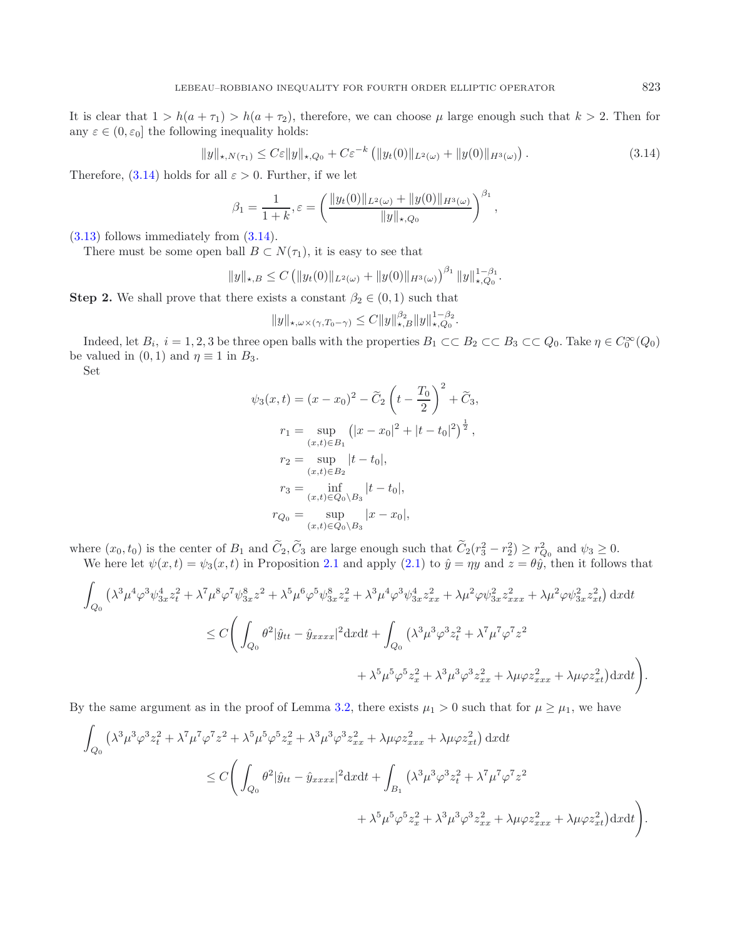It is clear that  $1 > h(a + \tau_1) > h(a + \tau_2)$ , therefore, we can choose  $\mu$  large enough such that  $k > 2$ . Then for any  $\varepsilon \in (0, \varepsilon_0]$  the following inequality holds:

<span id="page-12-0"></span>
$$
||y||_{\star, N(\tau_1)} \leq C\varepsilon ||y||_{\star, Q_0} + C\varepsilon^{-k} \left( ||y_t(0)||_{L^2(\omega)} + ||y(0)||_{H^3(\omega)} \right). \tag{3.14}
$$

Therefore,  $(3.14)$  holds for all  $\varepsilon > 0$ . Further, if we let

$$
\beta_1 = \frac{1}{1+k}, \varepsilon = \left(\frac{\|y_t(0)\|_{L^2(\omega)} + \|y(0)\|_{H^3(\omega)}}{\|y\|_{\star, Q_0}}\right)^{\beta_1},
$$

[\(3.13\)](#page-10-0) follows immediately from [\(3.14\)](#page-12-0).

There must be some open ball  $B \subset N(\tau_1)$ , it is easy to see that

$$
||y||_{\star,B} \leq C \left( ||y_t(0)||_{L^2(\omega)} + ||y(0)||_{H^3(\omega)} \right)^{\beta_1} ||y||_{\star,Q_0}^{1-\beta_1}.
$$

**Step 2.** We shall prove that there exists a constant  $\beta_2 \in (0,1)$  such that

$$
||y||_{\star,\omega\times(\gamma,T_0-\gamma)} \leq C||y||_{\star,B}^{\beta_2}||y||_{\star,Q_0}^{1-\beta_2}.
$$

Indeed, let  $B_i$ ,  $i = 1, 2, 3$  be three open balls with the properties  $B_1 \subset\subset B_2 \subset\subset B_3 \subset\subset Q_0$ . Take  $\eta \in C_0^{\infty}(Q_0)$ be valued in  $(0, 1)$  and  $\eta \equiv 1$  in  $B_3$ .

Set

$$
\psi_3(x,t) = (x - x_0)^2 - \tilde{C}_2 \left( t - \frac{T_0}{2} \right)^2 + \tilde{C}_3,
$$
  
\n
$$
r_1 = \sup_{(x,t) \in B_1} (|x - x_0|^2 + |t - t_0|^2)^{\frac{1}{2}},
$$
  
\n
$$
r_2 = \sup_{(x,t) \in B_2} |t - t_0|,
$$
  
\n
$$
r_3 = \inf_{(x,t) \in Q_0 \setminus B_3} |t - t_0|,
$$
  
\n
$$
r_{Q_0} = \sup_{(x,t) \in Q_0 \setminus B_3} |x - x_0|,
$$

where  $(x_0, t_0)$  is the center of  $B_1$  and  $C_2$ ,  $C_3$  are large enough such that  $C_2(r_3^2 - r_2^2) \ge r_{Q_0}^2$  and  $\psi_3 \ge 0$ . We here let  $\psi(x,t) = \psi_3(x,t)$  in Proposition [2.1](#page-2-0) and apply  $(2.1)$  to  $\hat{y} = \eta y$  and  $z = \theta \hat{y}$ , then it follows that

$$
\int_{Q_{0}} \left( \lambda^{3} \mu^{4} \varphi^{3} \psi_{3x}^{4} z_{t}^{2} + \lambda^{7} \mu^{8} \varphi^{7} \psi_{3x}^{8} z^{2} + \lambda^{5} \mu^{6} \varphi^{5} \psi_{3x}^{8} z_{x}^{2} + \lambda^{3} \mu^{4} \varphi^{3} \psi_{3x}^{4} z_{xx}^{2} + \lambda \mu^{2} \varphi \psi_{3x}^{2} z_{xxx}^{2} + \lambda \mu^{2} \varphi \psi_{3x}^{2} z_{xt}^{2} \right) dx dt
$$
  

$$
\leq C \Bigg( \int_{Q_{0}} \theta^{2} |\hat{y}_{tt} - \hat{y}_{xxxx}|^{2} dx dt + \int_{Q_{0}} \left( \lambda^{3} \mu^{3} \varphi^{3} z_{t}^{2} + \lambda^{7} \mu^{7} \varphi^{7} z^{2} + \lambda^{5} \mu^{5} \varphi^{5} z_{x}^{2} + \lambda^{3} \mu^{3} \varphi^{3} z_{xx}^{2} + \lambda \mu \varphi z_{xxx}^{2} + \lambda \mu \varphi z_{xt}^{2} \right) dx dt \Bigg).
$$

By the same argument as in the proof of Lemma [3.2,](#page-6-4) there exists  $\mu_1 > 0$  such that for  $\mu \ge \mu_1$ , we have

$$
\int_{Q_0} \left(\lambda^3 \mu^3 \varphi^3 z_t^2 + \lambda^7 \mu^7 \varphi^7 z^2 + \lambda^5 \mu^5 \varphi^5 z_x^2 + \lambda^3 \mu^3 \varphi^3 z_{xx}^2 + \lambda \mu \varphi z_{xxx}^2 + \lambda \mu \varphi z_{xt}^2 \right) dx dt
$$
\n
$$
\leq C \Bigg( \int_{Q_0} \theta^2 |\hat{y}_{tt} - \hat{y}_{xxxx}|^2 dx dt + \int_{B_1} \left(\lambda^3 \mu^3 \varphi^3 z_t^2 + \lambda^7 \mu^7 \varphi^7 z^2 + \lambda^5 \mu^5 \varphi^5 z_x^2 + \lambda^3 \mu^3 \varphi^3 z_{xx}^2 + \lambda \mu \varphi z_{xxx}^2 + \lambda \mu \varphi z_{xt}^2 \right) dx dt \Bigg).
$$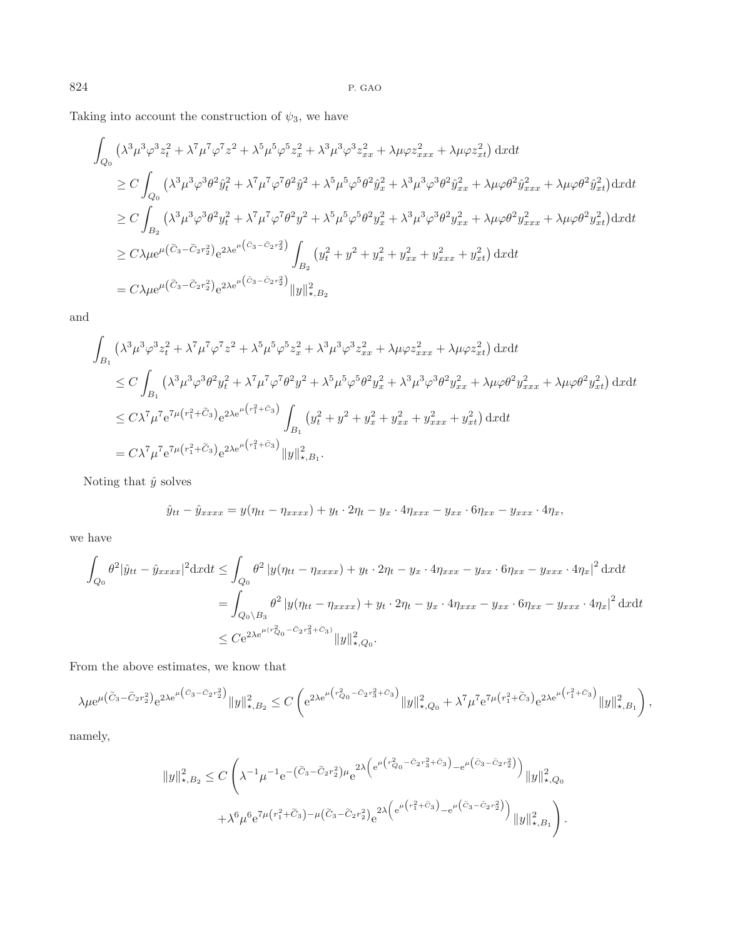Taking into account the construction of  $\psi_3$ , we have

$$
\int_{Q_0} \left( \lambda^3 \mu^3 \varphi^3 z_t^2 + \lambda^7 \mu^7 \varphi^7 z^2 + \lambda^5 \mu^5 \varphi^5 z_x^2 + \lambda^3 \mu^3 \varphi^3 z_{xx}^2 + \lambda \mu \varphi z_{xxx}^2 + \lambda \mu \varphi z_{xt}^2 \right) dx dt
$$
\n
$$
\geq C \int_{Q_0} \left( \lambda^3 \mu^3 \varphi^3 \theta^2 \hat{y}_t^2 + \lambda^7 \mu^7 \varphi^7 \theta^2 \hat{y}^2 + \lambda^5 \mu^5 \varphi^5 \theta^2 \hat{y}_x^2 + \lambda^3 \mu^3 \varphi^3 \theta^2 \hat{y}_{xx}^2 + \lambda \mu \varphi \theta^2 \hat{y}_{xxx}^2 + \lambda \mu \varphi \theta^2 \hat{y}_{xt}^2 \right) dx dt
$$
\n
$$
\geq C \int_{B_2} \left( \lambda^3 \mu^3 \varphi^3 \theta^2 y_t^2 + \lambda^7 \mu^7 \varphi^7 \theta^2 y^2 + \lambda^5 \mu^5 \varphi^5 \theta^2 y_x^2 + \lambda^3 \mu^3 \varphi^3 \theta^2 y_{xx}^2 + \lambda \mu \varphi \theta^2 y_{xxx}^2 + \lambda \mu \varphi \theta^2 y_{xt}^2 \right) dx dt
$$
\n
$$
\geq C \lambda \mu e^{\mu \left( \tilde{C}_3 - \tilde{C}_2 r_2^2 \right)} e^{2\lambda e^{\mu \left( \tilde{C}_3 - \tilde{C}_2 r_2^2 \right)}} \int_{B_2} \left( y_t^2 + y^2 + y_x^2 + y_{xx}^2 + y_{xxx}^2 + y_{xt}^2 \right) dx dt
$$
\n
$$
= C \lambda \mu e^{\mu \left( \tilde{C}_3 - \tilde{C}_2 r_2^2 \right)} e^{2\lambda e^{\mu \left( \tilde{C}_3 - \tilde{C}_2 r_2^2 \right)}} \|y\|_{\star, B_2}^2
$$

and

$$
\int_{B_1} \left( \lambda^3 \mu^3 \varphi^3 z_t^2 + \lambda^7 \mu^7 \varphi^7 z^2 + \lambda^5 \mu^5 \varphi^5 z_x^2 + \lambda^3 \mu^3 \varphi^3 z_{xx}^2 + \lambda \mu \varphi z_{xxx}^2 + \lambda \mu \varphi z_{xt}^2 \right) dx dt
$$
\n
$$
\leq C \int_{B_1} \left( \lambda^3 \mu^3 \varphi^3 \theta^2 y_t^2 + \lambda^7 \mu^7 \varphi^7 \theta^2 y^2 + \lambda^5 \mu^5 \varphi^5 \theta^2 y_x^2 + \lambda^3 \mu^3 \varphi^3 \theta^2 y_{xx}^2 + \lambda \mu \varphi \theta^2 y_{xxx}^2 + \lambda \mu \varphi \theta^2 y_{xt}^2 \right) dx dt
$$
\n
$$
\leq C \lambda^7 \mu^7 e^{7\mu \left( r_1^2 + \tilde{C}_3 \right)} e^{2\lambda e^{\mu \left( r_1^2 + \tilde{C}_3 \right)}} \int_{B_1} \left( y_t^2 + y^2 + y_x^2 + y_{xx}^2 + y_{xxx}^2 + y_{xt}^2 \right) dx dt
$$
\n
$$
= C \lambda^7 \mu^7 e^{7\mu \left( r_1^2 + \tilde{C}_3 \right)} e^{2\lambda e^{\mu \left( r_1^2 + \tilde{C}_3 \right)}} \|y\|_{\star, B_1}^2.
$$

Noting that  $\hat{y}$  solves

$$
\hat{y}_{tt} - \hat{y}_{xxxx} = y(\eta_{tt} - \eta_{xxxx}) + y_t \cdot 2\eta_t - y_x \cdot 4\eta_{xxx} - y_{xx} \cdot 6\eta_{xx} - y_{xxx} \cdot 4\eta_x,
$$

we have

$$
\int_{Q_0} \theta^2 |\hat{y}_{tt} - \hat{y}_{xxxx}|^2 \, dx dt \le \int_{Q_0} \theta^2 |y(\eta_{tt} - \eta_{xxxx}) + y_t \cdot 2\eta_t - y_x \cdot 4\eta_{xxx} - y_{xx} \cdot 6\eta_{xx} - y_{xxx} \cdot 4\eta_x|^2 \, dx dt
$$
\n
$$
= \int_{Q_0 \setminus B_3} \theta^2 |y(\eta_{tt} - \eta_{xxxx}) + y_t \cdot 2\eta_t - y_x \cdot 4\eta_{xxx} - y_{xx} \cdot 6\eta_{xx} - y_{xxx} \cdot 4\eta_x|^2 \, dx dt
$$
\n
$$
\le C e^{2\lambda e^{\mu(r_{Q_0}^2 - \tilde{C}_2 r_3^2 + \tilde{C}_3)}} ||y||_{\star, Q_0}^2.
$$

From the above estimates, we know that

$$
\lambda\mu{\rm e}^{\mu\left(\tilde{C}_{3}-\tilde{C}_{2}r_{2}^{2}\right)}{\rm e}^{2\lambda{\rm e}^{\mu\left(\tilde{C}_{3}-\tilde{C}_{2}r_{2}^{2}\right)}}\|y\|_{\star,B_{2}}^{2}\leq C\left({\rm e}^{2\lambda{\rm e}^{\mu\left(r_{Q_{0}}^{2}-\tilde{C}_{2}r_{3}^{2}+\tilde{C}_{3}\right)}}\|y\|_{\star,Q_{0}}^{2}+\lambda^{7}\mu^{7}{\rm e}^{7\mu\left(r_{1}^{2}+\tilde{C}_{3}\right)}{\rm e}^{2\lambda{\rm e}^{\mu\left(r_{1}^{2}+\tilde{C}_{3}\right)}}\|y\|_{\star,B_{1}}^{2}\right),
$$

namely,

$$
||y||_{\star,B_2}^2 \leq C \left( \lambda^{-1} \mu^{-1} e^{-\left( \widetilde{C}_3 - \widetilde{C}_2 r_2^2 \right) \mu} e^{2\lambda \left( e^{\mu \left( r_{Q_0}^2 - \widetilde{C}_2 r_3^2 + \widetilde{C}_3 \right)} - e^{\mu \left( \widetilde{C}_3 - \widetilde{C}_2 r_2^2 \right)} \right)} ||y||_{\star,Q_0}^2 + \lambda^6 \mu^6 e^{7\mu \left( r_1^2 + \widetilde{C}_3 \right) - \mu \left( \widetilde{C}_3 - \widetilde{C}_2 r_2^2 \right)} e^{2\lambda \left( e^{\mu \left( r_1^2 + \widetilde{C}_3 \right)} - e^{\mu \left( \widetilde{C}_3 - \widetilde{C}_2 r_2^2 \right)} \right)} ||y||_{\star,B_1}^2 \right).
$$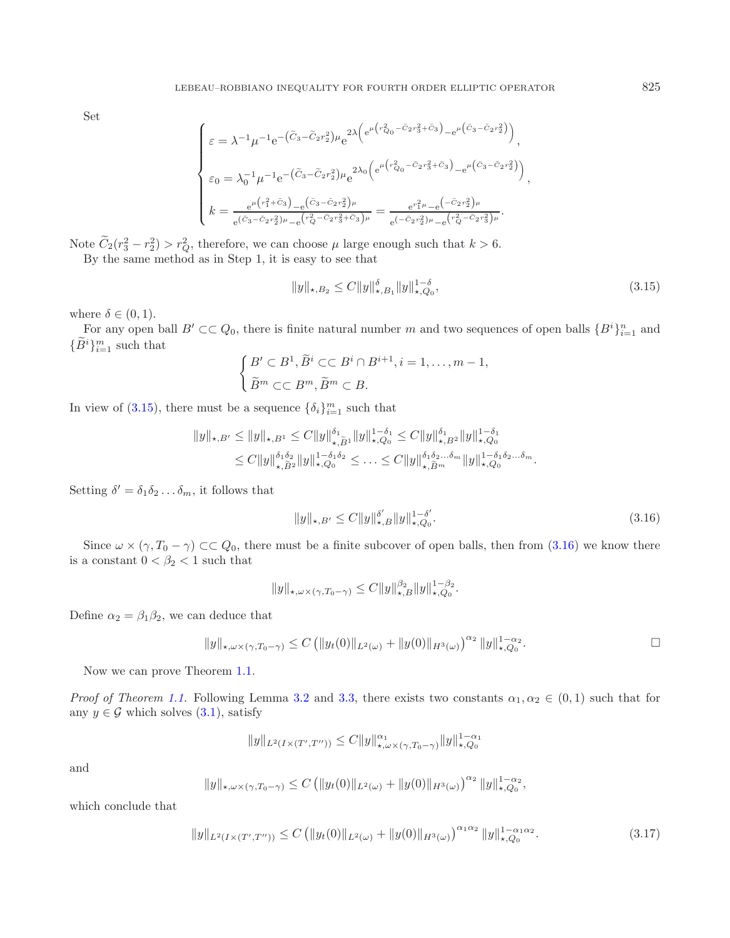Set

<span id="page-14-0"></span>
$$
\begin{cases} \varepsilon = \lambda^{-1} \mu^{-1} e^{-\left(\tilde{C}_{3} - \tilde{C}_{2}r_{2}^{2}\right) \mu} e^{2\lambda \left(e^{\mu\left(r_{Q_{0}}^{2} - \tilde{C}_{2}r_{3}^{2} + \tilde{C}_{3}\right)} - e^{\mu\left(\tilde{C}_{3} - \tilde{C}_{2}r_{2}^{2}\right)}\right)}, \\ \varepsilon_{0} = \lambda_{0}^{-1} \mu^{-1} e^{-\left(\tilde{C}_{3} - \tilde{C}_{2}r_{2}^{2}\right) \mu} e^{2\lambda_{0} \left(e^{\mu\left(r_{Q_{0}}^{2} - \tilde{C}_{2}r_{3}^{2} + \tilde{C}_{3}\right)} - e^{\mu\left(\tilde{C}_{3} - \tilde{C}_{2}r_{2}^{2}\right)}\right)}, \\ k = \frac{e^{\mu\left(r_{1}^{2} + \tilde{C}_{3}\right)} - e^{\left(\tilde{C}_{3} - \tilde{C}_{2}r_{2}^{2}\right) \mu}}{e^{\left(\tilde{C}_{3} - \tilde{C}_{2}r_{2}^{2}\right) \mu} - e^{\left(r_{Q}^{2} - \tilde{C}_{2}r_{3}^{2} + \tilde{C}_{3}\right) \mu}} = \frac{e^{r_{1}^{2} \mu} - e^{\left(-\tilde{C}_{2}r_{2}^{2}\right) \mu}}{e^{\left(-\tilde{C}_{2}r_{2}^{2}\right) \mu} - e^{\left(r_{Q}^{2} - \tilde{C}_{2}r_{3}^{2}\right) \mu}}. \end{cases}
$$

Note  $C_2(r_3^2 - r_2^2) > r_Q^2$ , therefore, we can choose  $\mu$  large enough such that  $k > 6$ . By the same method as in Step 1, it is easy to see that

$$
||y||_{\star,B_2} \le C||y||_{\star,B_1}^{\delta} ||y||_{\star,Q_0}^{1-\delta},\tag{3.15}
$$

where  $\delta \in (0,1)$ .

For any open ball  $B' \subset\subset Q_0$ , there is finite natural number m and two sequences of open balls  $\{B^i\}_{i=1}^n$  and  ${B^i}_{i=1}^m$  such that

<span id="page-14-1"></span>
$$
\begin{cases} B' \subset B^1, \widetilde{B}^i \subset\subset B^i \cap B^{i+1}, i = 1, \dots, m-1, \\ \widetilde{B}^m \subset\subset B^m, \widetilde{B}^m \subset B. \end{cases}
$$

In view of [\(3.15\)](#page-14-0), there must be a sequence  $\{\delta_i\}_{i=1}^m$  such that

$$
||y||_{\star,B'} \le ||y||_{\star,B^1} \le C||y||_{\star,\tilde{B}^1}^{\delta_1} ||y||_{\star,Q_0}^{1-\delta_1} \le C||y||_{\star,B^2}^{\delta_1} ||y||_{\star,Q_0}^{1-\delta_1}
$$
  

$$
\le C||y||_{\star,\tilde{B}^2}^{\delta_1\delta_2} ||y||_{\star,Q_0}^{1-\delta_1\delta_2} \le \ldots \le C||y||_{\star,\tilde{B}^m}^{\delta_1\delta_2\ldots\delta_m} ||y||_{\star,Q_0}^{1-\delta_1\delta_2\ldots\delta_m}.
$$

Setting  $\delta' = \delta_1 \delta_2 \dots \delta_m$ , it follows that

$$
||y||_{\star,B'} \le C||y||_{\star,B}^{\delta'}||y||_{\star,Q_0}^{1-\delta'}.
$$
\n(3.16)

Since  $\omega \times (\gamma, T_0 - \gamma) \subset \subset Q_0$ , there must be a finite subcover of open balls, then from [\(3.16\)](#page-14-1) we know there is a constant  $0 < \beta_2 < 1$  such that

$$
||y||_{\star,\omega\times(\gamma,T_0-\gamma)} \leq C||y||_{\star,B}^{\beta_2}||y||_{\star,Q_0}^{1-\beta_2}.
$$

<span id="page-14-2"></span>Define  $\alpha_2 = \beta_1 \beta_2$ , we can deduce that

$$
||y||_{\star,\omega\times(\gamma,T_0-\gamma)} \leq C \left( ||y_t(0)||_{L^2(\omega)} + ||y(0)||_{H^3(\omega)} \right)^{\alpha_2} ||y||_{\star,Q_0}^{1-\alpha_2}.
$$

Now we can prove Theorem [1.1.](#page-0-0)

*Proof of Theorem [1.1.](#page-0-0)* Following Lemma [3.2](#page-6-4) and [3.3,](#page-9-2) there exists two constants  $\alpha_1, \alpha_2 \in (0,1)$  such that for any  $y \in \mathcal{G}$  which solves  $(3.1)$ , satisfy

$$
||y||_{L^{2}(I\times(T',T''))}\leq C||y||_{\star,\omega\times(\gamma,T_{0}-\gamma)}^{\alpha_{1}}||y||_{\star,Q_{0}}^{1-\alpha_{1}}
$$

and

$$
||y||_{\star,\omega\times(\gamma,T_0-\gamma)} \leq C \left( ||y_t(0)||_{L^2(\omega)} + ||y(0)||_{H^3(\omega)} \right)^{\alpha_2} ||y||_{\star,Q_0}^{1-\alpha_2},
$$

which conclude that

$$
||y||_{L^{2}(I\times(T',T''))} \leq C \left( ||y_{t}(0)||_{L^{2}(\omega)} + ||y(0)||_{H^{3}(\omega)} \right)^{\alpha_{1}\alpha_{2}} ||y||_{\star,Q_{0}}^{1-\alpha_{1}\alpha_{2}}.
$$
\n(3.17)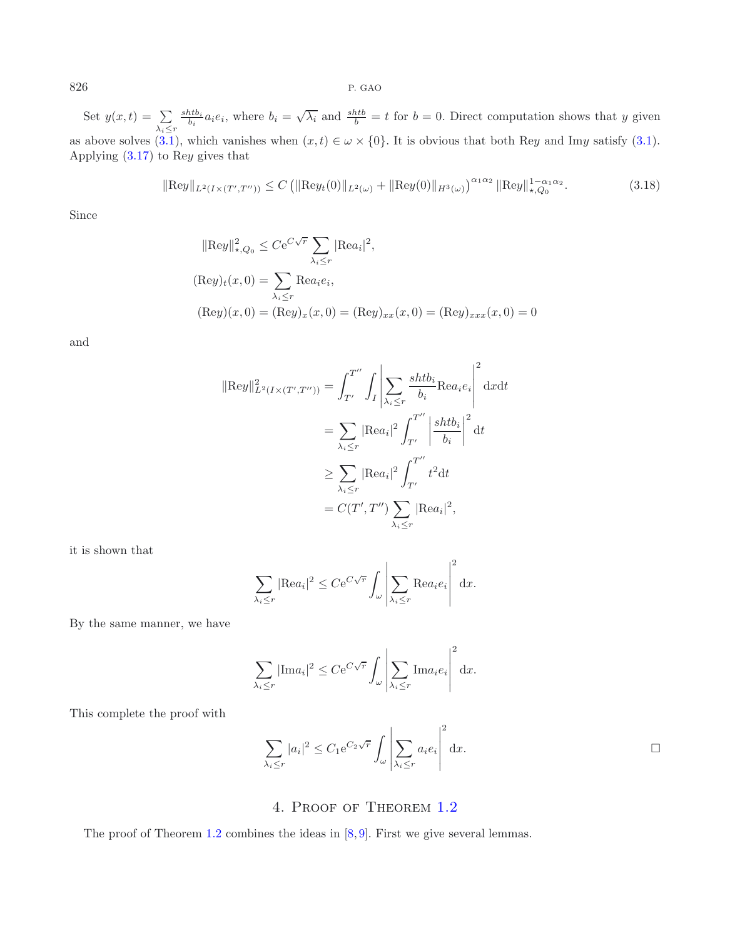Set  $y(x,t) = \sum$  $\lambda_i \leq r$  $\frac{shift}{b_i}a_ie_i$ , where  $b_i = \sqrt{\lambda_i}$  and  $\frac{shift}{b} = t$  for  $b = 0$ . Direct computation shows that y given as above solves  $(3.1)$ , which vanishes when  $(x, t) \in \omega \times \{0\}$ . It is obvious that both Rey and Imy satisfy  $(3.1)$ . Applying [\(3.17\)](#page-14-2) to Rey gives that

$$
\|\text{Re}y\|_{L^{2}(I\times(T',T''))}\leq C\left(\|\text{Re}y_{t}(0)\|_{L^{2}(\omega)}+\|\text{Re}y(0)\|_{H^{3}(\omega)}\right)^{\alpha_{1}\alpha_{2}}\|\text{Re}y\|_{\star,Q_{0}}^{1-\alpha_{1}\alpha_{2}}.
$$
\n(3.18)

Since

$$
||\text{Re}y||_{\star,Q_0}^2 \le Ce^{C\sqrt{r}} \sum_{\lambda_i \le r} |\text{Re}a_i|^2,
$$
  
\n
$$
(\text{Re}y)_t(x,0) = \sum_{\lambda_i \le r} \text{Re}a_i e_i,
$$
  
\n
$$
(\text{Re}y)(x,0) = (\text{Re}y)_x(x,0) = (\text{Re}y)_{xx}(x,0) = (\text{Re}y)_{xxx}(x,0) = 0
$$

and

$$
\|\text{Re}y\|_{L^2(I\times(T',T''))}^2 = \int_{T'}^{T''} \int_I \left| \sum_{\lambda_i \le r} \frac{shtb_i}{b_i} \text{Re}a_i e_i \right|^2 \, \mathrm{d}x \mathrm{d}t
$$

$$
= \sum_{\lambda_i \le r} |\text{Re}a_i|^2 \int_{T'}^{T''} \left| \frac{shtb_i}{b_i} \right|^2 \mathrm{d}t
$$

$$
\ge \sum_{\lambda_i \le r} |\text{Re}a_i|^2 \int_{T'}^{T''} t^2 \mathrm{d}t
$$

$$
= C(T', T'') \sum_{\lambda_i \le r} |\text{Re}a_i|^2,
$$

it is shown that

$$
\sum_{\lambda_i \le r} |\text{Re}a_i|^2 \le C e^{C\sqrt{r}} \int_{\omega} \left| \sum_{\lambda_i \le r} \text{Re}a_i e_i \right|^2 dx.
$$

By the same manner, we have

<span id="page-15-0"></span>
$$
\sum_{\lambda_i \le r} |\text{Im} a_i|^2 \le C e^{C\sqrt{r}} \int_{\omega} \left| \sum_{\lambda_i \le r} \text{Im} a_i e_i \right|^2 dx.
$$

This complete the proof with

$$
\sum_{\lambda_i \le r} |a_i|^2 \le C_1 e^{C_2 \sqrt{r}} \int_{\omega} \left| \sum_{\lambda_i \le r} a_i e_i \right|^2 dx.
$$

## 4. Proof of Theorem [1.2](#page-1-0)

The proof of Theorem [1.2](#page-1-0) combines the ideas in  $[8, 9]$  $[8, 9]$  $[8, 9]$ . First we give several lemmas.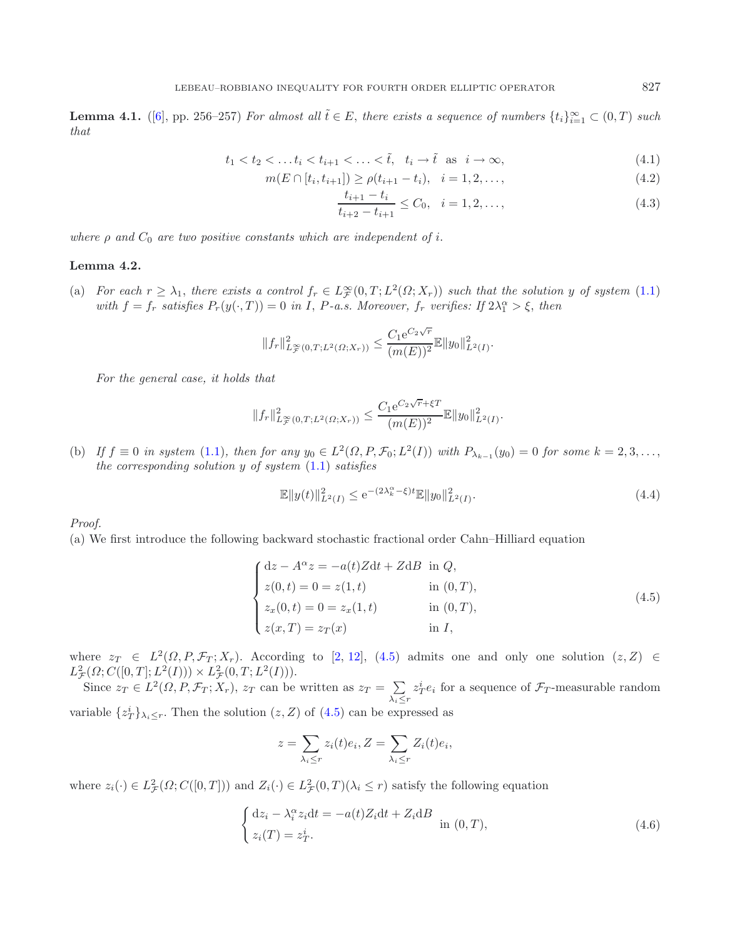**Lemma 4.1.** ([\[6\]](#page-20-12), pp. 256–257) *For almost all*  $\tilde{t} \in E$ , *there exists a sequence of numbers*  $\{t_i\}_{i=1}^{\infty} \subset (0,T)$  *such that*

$$
t_1 < t_2 < \dots t_i < t_{i+1} < \dots < \tilde{t}, \quad t_i \to \tilde{t} \quad \text{as} \quad i \to \infty,
$$
\n
$$
(4.1)
$$

$$
m(E \cap [t_i, t_{i+1}]) \ge \rho(t_{i+1} - t_i), \quad i = 1, 2, \dots,
$$
\n
$$
(4.2)
$$

<span id="page-16-3"></span><span id="page-16-2"></span><span id="page-16-0"></span>
$$
\frac{t_{i+1} - t_i}{t_{i+2} - t_{i+1}} \le C_0, \quad i = 1, 2, \dots,
$$
\n(4.3)

<span id="page-16-4"></span>*where*  $\rho$  *and*  $C_0$  *are two positive constants which are independent of i.* 

#### **Lemma 4.2.**

(a) *For each*  $r \geq \lambda_1$ , *there exists a control*  $f_r \in L^\infty_\mathcal{F}(0,T;L^2(\Omega;X_r))$  *such that the solution* y *of system* [\(1.1\)](#page-2-1) with  $f = f_r$  satisfies  $P_r(y(\cdot, T)) = 0$  in *I*, *P-a.s.* Moreover,  $f_r$  verifies: If  $2\lambda_1^{\alpha} > \xi$ , then

<span id="page-16-1"></span>
$$
||f_r||_{L^{\infty}_{\mathcal{F}}(0,T;L^2(\Omega;X_r))}^2 \leq \frac{C_1 e^{C_2\sqrt{r}}}{(m(E))^2} \mathbb{E} ||y_0||_{L^2(I)}^2.
$$

*For the general case, it holds that*

$$
||f_r||_{L^{\infty}_{\mathcal{F}}(0,T;L^2(\Omega;X_r))}^2 \leq \frac{C_1 e^{C_2\sqrt{r}+\xi T}}{(m(E))^2} \mathbb{E} ||y_0||_{L^2(I)}^2.
$$

(b) *If*  $f \equiv 0$  *in system* [\(1.1\)](#page-2-1)*, then for any*  $y_0 \in L^2(\Omega, P, \mathcal{F}_0; L^2(I))$  *with*  $P_{\lambda_{k-1}}(y_0) = 0$  *for some*  $k = 2, 3, \ldots$ , *the corresponding solution* y *of system* [\(1.1\)](#page-2-1) *satisfies*

$$
\mathbb{E}||y(t)||_{L^{2}(I)}^{2} \le e^{-(2\lambda_{k}^{\alpha} - \xi)t} \mathbb{E}||y_{0}||_{L^{2}(I)}^{2}.
$$
\n(4.4)

*Proof.*

(a) We first introduce the following backward stochastic fractional order Cahn–Hilliard equation

$$
\begin{cases}\ndz - A^{\alpha}z = -a(t)Zdt + ZdB & \text{in } Q, \\
z(0, t) = 0 = z(1, t) & \text{in } (0, T), \\
z_x(0, t) = 0 = z_x(1, t) & \text{in } (0, T), \\
z(x, T) = z_T(x) & \text{in } I,\n\end{cases}
$$
\n(4.5)

where  $z_T \in L^2(\Omega, P, \mathcal{F}_T; X_r)$ . According to [\[2,](#page-20-13) [12\]](#page-20-14), [\(4.5\)](#page-16-0) admits one and only one solution  $(z, Z) \in$  $L^2_{\mathcal{F}}(\Omega; C([0,T]; L^2(I))) \times L^2_{\mathcal{F}}(0,T; L^2(I))).$ 

Since  $z_T \in L^2(\Omega, P, \mathcal{F}_T; X_r)$ ,  $z_T$  can be written as  $z_T = \sum$  $\lambda_i \leq r$  $z_T^i e_i$  for a sequence of  $\mathcal{F}_T$ -measurable random variable  $\{z_T^i\}_{\lambda_i \leq r}$ . Then the solution  $(z, Z)$  of  $(4.5)$  can be expressed as

$$
z = \sum_{\lambda_i \le r} z_i(t)e_i, Z = \sum_{\lambda_i \le r} Z_i(t)e_i,
$$

where  $z_i(\cdot) \in L^2_{\mathcal{F}}(\Omega; C([0,T]))$  and  $Z_i(\cdot) \in L^2_{\mathcal{F}}(0,T)(\lambda_i \leq r)$  satisfy the following equation

$$
\begin{cases} dz_i - \lambda_i^{\alpha} z_i dt = -a(t) Z_i dt + Z_i dB \\ z_i(T) = z_T^i. \end{cases}
$$
 in  $(0, T)$ , (4.6)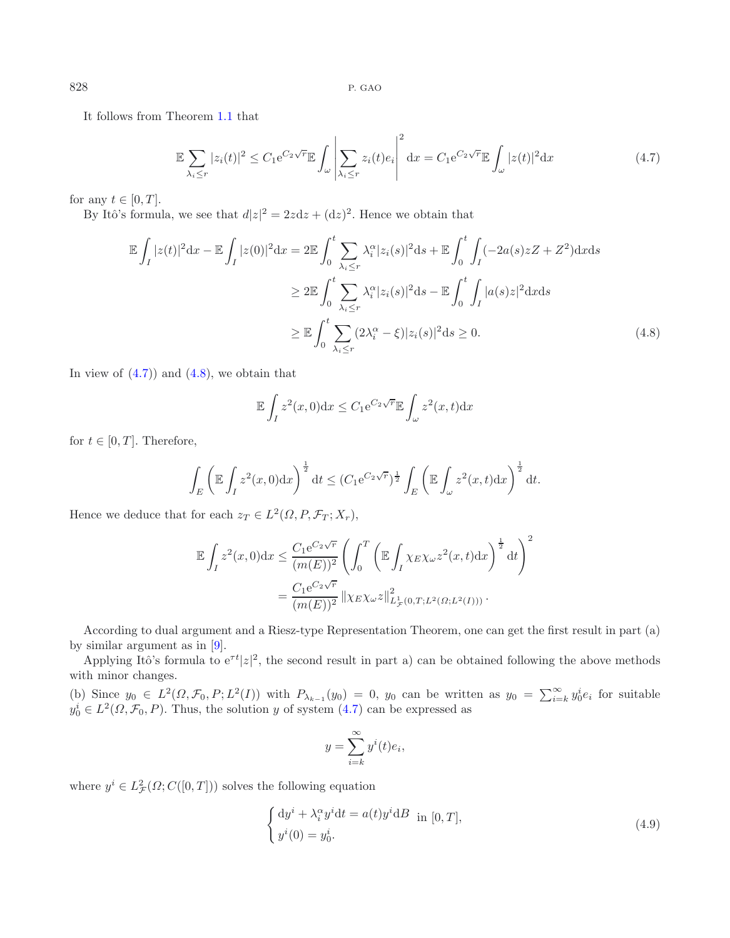It follows from Theorem [1.1](#page-0-0) that

<span id="page-17-1"></span>
$$
\mathbb{E}\sum_{\lambda_i \le r} |z_i(t)|^2 \le C_1 e^{C_2\sqrt{r}} \mathbb{E}\int_{\omega} \left|\sum_{\lambda_i \le r} z_i(t)e_i\right|^2 dx = C_1 e^{C_2\sqrt{r}} \mathbb{E}\int_{\omega} |z(t)|^2 dx \tag{4.7}
$$

for any  $t \in [0, T]$ .

By Itô's formula, we see that  $d|z|^2 = 2zdz + (dz)^2$ . Hence we obtain that

$$
\mathbb{E}\int_{I}|z(t)|^{2}dx - \mathbb{E}\int_{I}|z(0)|^{2}dx = 2\mathbb{E}\int_{0}^{t}\sum_{\lambda_{i}\leq r}\lambda_{i}^{\alpha}|z_{i}(s)|^{2}ds + \mathbb{E}\int_{0}^{t}\int_{I}(-2a(s)zZ + Z^{2})dxds
$$
  
\n
$$
\geq 2\mathbb{E}\int_{0}^{t}\sum_{\lambda_{i}\leq r}\lambda_{i}^{\alpha}|z_{i}(s)|^{2}ds - \mathbb{E}\int_{0}^{t}\int_{I}|a(s)z|^{2}dxds
$$
  
\n
$$
\geq \mathbb{E}\int_{0}^{t}\sum_{\lambda_{i}\leq r}(2\lambda_{i}^{\alpha}-\xi)|z_{i}(s)|^{2}ds \geq 0.
$$
\n(4.8)

In view of  $(4.7)$  and  $(4.8)$ , we obtain that

$$
\mathbb{E}\int_I z^2(x,0)\mathrm{d}x \le C_1 e^{C_2\sqrt{r}} \mathbb{E}\int_{\omega} z^2(x,t)\mathrm{d}x
$$

for  $t \in [0, T]$ . Therefore,

$$
\int_{E} \left(\mathbb{E} \int_{I} z^{2}(x,0) \mathrm{d}x\right)^{\frac{1}{2}} \mathrm{d}t \leq (C_{1} e^{C_{2}\sqrt{r}})^{\frac{1}{2}} \int_{E} \left(\mathbb{E} \int_{\omega} z^{2}(x,t) \mathrm{d}x\right)^{\frac{1}{2}} \mathrm{d}t.
$$

Hence we deduce that for each  $z_T \in L^2(\Omega, P, \mathcal{F}_T; X_r)$ ,

$$
\mathbb{E} \int_I z^2(x,0) dx \leq \frac{C_1 e^{C_2 \sqrt{r}}}{(m(E))^2} \left( \int_0^T \left( \mathbb{E} \int_I \chi_E \chi_{\omega} z^2(x,t) dx \right)^{\frac{1}{2}} dt \right)^2
$$
  
= 
$$
\frac{C_1 e^{C_2 \sqrt{r}}}{(m(E))^2} ||\chi_E \chi_{\omega} z||^2_{L^1_{\mathcal{F}}(0,T;L^2(\Omega;L^2(I)))}.
$$

According to dual argument and a Riesz-type Representation Theorem, one can get the first result in part (a) by similar argument as in [\[9\]](#page-20-6).

Applying Itô's formula to  $e^{\tau t} |z|^2$ , the second result in part a) can be obtained following the above methods with minor changes.

(b) Since  $y_0 \in L^2(\Omega, \mathcal{F}_0, P; L^2(I))$  with  $P_{\lambda_{k-1}}(y_0) = 0$ ,  $y_0$  can be written as  $y_0 = \sum_{i=k}^{\infty} y_0^i e_i$  for suitable  $y_0^i \in L^2(\Omega, \mathcal{F}_0, P)$ . Thus, the solution y of system  $(4.7)$  can be expressed as

$$
y = \sum_{i=k}^{\infty} y^i(t)e_i,
$$

where  $y^i \in L^2_{\mathcal{F}}(\Omega; C([0,T]))$  solves the following equation

$$
\begin{cases} dy^{i} + \lambda_{i}^{\alpha} y^{i} dt = a(t) y^{i} dB \text{ in } [0, T], \\ y^{i}(0) = y_{0}^{i}. \end{cases}
$$
\n(4.9)

<span id="page-17-0"></span>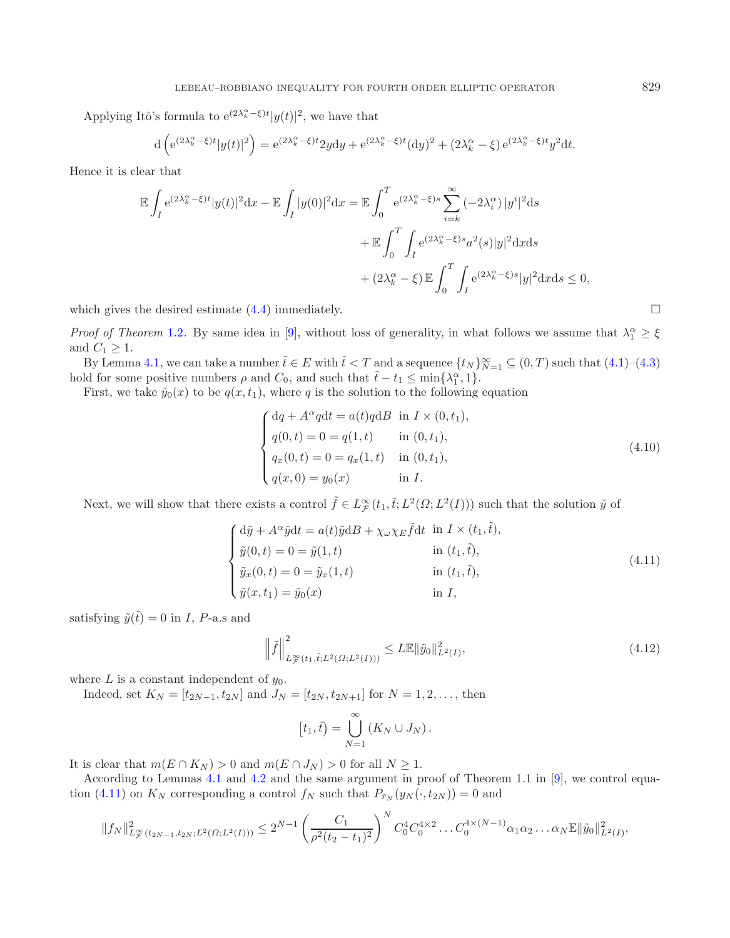Applying Itô's formula to  $e^{(2\lambda_k^{\alpha}-\xi)t}|y(t)|^2$ , we have that

$$
d\left(e^{(2\lambda_k^{\alpha}-\xi)t}|y(t)|^2\right) = e^{(2\lambda_k^{\alpha}-\xi)t}2y\mathrm{d}y + e^{(2\lambda_k^{\alpha}-\xi)t}(\mathrm{d}y)^2 + (2\lambda_k^{\alpha}-\xi)e^{(2\lambda_k^{\alpha}-\xi)t}y^2\mathrm{d}t.
$$

Hence it is clear that

$$
\mathbb{E} \int_{I} e^{(2\lambda_{k}^{\alpha} - \xi)t} |y(t)|^{2} dx - \mathbb{E} \int_{I} |y(0)|^{2} dx = \mathbb{E} \int_{0}^{T} e^{(2\lambda_{k}^{\alpha} - \xi)s} \sum_{i=k}^{\infty} (-2\lambda_{i}^{\alpha}) |y^{i}|^{2} ds
$$

$$
+ \mathbb{E} \int_{0}^{T} \int_{I} e^{(2\lambda_{k}^{\alpha} - \xi)s} a^{2}(s) |y|^{2} dx ds
$$

$$
+ (2\lambda_{k}^{\alpha} - \xi) \mathbb{E} \int_{0}^{T} \int_{I} e^{(2\lambda_{k}^{\alpha} - \xi)s} |y|^{2} dx ds \le 0,
$$

which gives the desired estimate  $(4.4)$  immediately.

*Proof of Theorem* [1.2](#page-1-0). By same idea in [\[9\]](#page-20-6), without loss of generality, in what follows we assume that  $\lambda_1^{\alpha} \geq \xi$ and  $C_1 \geq 1$ .

By Lemma [4.1,](#page-15-0) we can take a number  $\tilde{t} \in E$  with  $\tilde{t} < T$  and a sequence  $\{t_N\}_{N=1}^{\infty} \subseteq (0, T)$  such that  $(4.1)$ – $(4.3)$ hold for some positive numbers  $\rho$  and  $C_0$ , and such that  $\tilde{t} - t_1 \le \min\{\lambda_1^{\alpha}, 1\}.$ 

<span id="page-18-1"></span>First, we take  $\tilde{y}_0(x)$  to be  $q(x, t_1)$ , where q is the solution to the following equation

$$
\begin{cases}\ndq + A^{\alpha}qdt = a(t)qdB \text{ in } I \times (0, t_1), \\
q(0, t) = 0 = q(1, t) \text{ in } (0, t_1), \\
q_x(0, t) = 0 = q_x(1, t) \text{ in } (0, t_1), \\
q(x, 0) = y_0(x) \text{ in } I.\n\end{cases}
$$
\n(4.10)

Next, we will show that there exists a control  $\tilde{f} \in L^{\infty}_{\mathcal{F}}(t_1, \tilde{t}; L^2(\Omega; L^2(I)))$  such that the solution  $\tilde{y}$  of

$$
\begin{cases}\n\mathrm{d}\tilde{y} + A^{\alpha}\tilde{y}\mathrm{d}t = a(t)\tilde{y}\mathrm{d}B + \chi_{\omega}\chi_{E}\tilde{f}\mathrm{d}t & \text{in } I \times (t_{1},\tilde{t}), \\
\tilde{y}(0,t) = 0 = \tilde{y}(1,t) & \text{in } (t_{1},\tilde{t}), \\
\tilde{y}_{x}(0,t) = 0 = \tilde{y}_{x}(1,t) & \text{in } (t_{1},\tilde{t}), \\
\tilde{y}(x,t_{1}) = \tilde{y}_{0}(x) & \text{in } I,\n\end{cases}
$$
\n(4.11)

satisfying  $\tilde{y}(\tilde{t}) = 0$  in *I*, *P*-a.s and

$$
\left\|\tilde{f}\right\|_{L^{\infty}_{\mathcal{F}}(t_1,\tilde{t};L^2(\Omega;L^2(I)))}^2 \leq L\mathbb{E}\|\tilde{y}_0\|_{L^2(I)}^2,
$$
\n(4.12)

where  $L$  is a constant independent of  $y_0$ .

Indeed, set  $K_N = [t_{2N-1}, t_{2N}]$  and  $J_N = [t_{2N}, t_{2N+1}]$  for  $N = 1, 2, ...,$  then

$$
[t_1,\tilde{t}) = \bigcup_{N=1}^{\infty} (K_N \cup J_N).
$$

It is clear that  $m(E \cap K_N) > 0$  and  $m(E \cap J_N) > 0$  for all  $N \geq 1$ .

According to Lemmas [4.1](#page-15-0) and [4.2](#page-16-4) and the same argument in proof of Theorem 1.1 in [\[9](#page-20-6)], we control equa-tion [\(4.11\)](#page-18-0) on  $K_N$  corresponding a control  $f_N$  such that  $P_{\bar{r}_N}(y_N(\cdot, t_{2N})) = 0$  and

$$
||f_N||_{L^{\infty}_{\mathcal{F}}(t_{2N-1},t_{2N};L^2(\Omega;L^2(I)))}^2 \leq 2^{N-1} \left(\frac{C_1}{\rho^2(t_2-t_1)^2}\right)^N C_0^4 C_0^{4 \times 2} \dots C_0^{4 \times (N-1)} \alpha_1 \alpha_2 \dots \alpha_N \mathbb{E} \|\tilde{y}_0\|_{L^2(I)}^2,
$$

<span id="page-18-0"></span>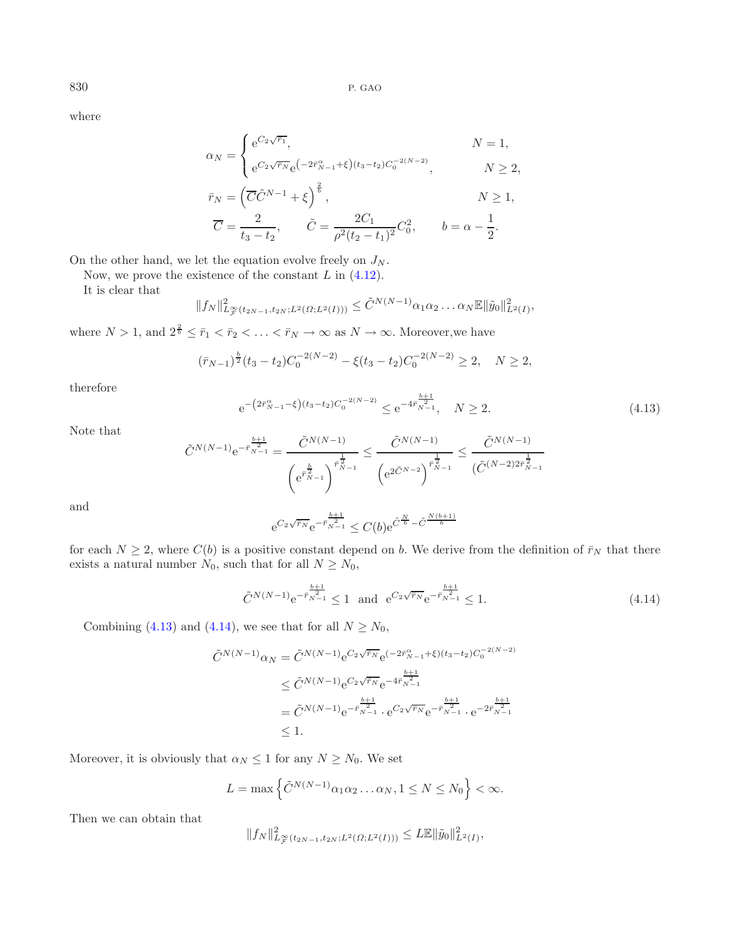where

$$
\alpha_N = \begin{cases} e^{C_2\sqrt{\bar{r}_1}}, & N = 1, \\ e^{C_2\sqrt{\bar{r}_N}} e^{(-2\bar{r}_{N-1}^{\alpha} + \xi)(t_3 - t_2)C_0^{-2(N-2)}}, & N \ge 2, \end{cases}
$$

$$
\begin{aligned}\n\bar{r}_N &= \left( \overline{C} \tilde{C}^{N-1} + \xi \right)^{\frac{2}{b}}, & N \ge 1, \\
\overline{C} &= \frac{2}{t_3 - t_2}, & \tilde{C} &= \frac{2C_1}{\rho^2 (t_2 - t_1)^2} C_0^2, & b = \alpha - \frac{1}{2}.\n\end{aligned}
$$

<span id="page-19-0"></span>On the other hand, we let the equation evolve freely on  $J_N$ .

Now, we prove the existence of the constant  $L$  in  $(4.12)$ .

It is clear that

$$
||f_N||_{L^{\infty}_{\mathcal{F}}(t_{2N-1},t_{2N};L^2(\Omega;L^2(I)))}^2 \leq \tilde{C}^{N(N-1)}\alpha_1\alpha_2\ldots\alpha_N\mathbb{E}||\tilde{y}_0||_{L^2(I)}^2,
$$

where  $N > 1$ , and  $2^{\frac{2}{b}} \leq \bar{r}_1 < \bar{r}_2 < \ldots < \bar{r}_N \to \infty$  as  $N \to \infty$ . Moreover, we have

$$
(\bar{r}_{N-1})^{\frac{b}{2}}(t_3-t_2)C_0^{-2(N-2)} - \xi(t_3-t_2)C_0^{-2(N-2)} \ge 2, \quad N \ge 2,
$$

therefore

<span id="page-19-1"></span>
$$
e^{-\left(2\bar{r}_{N-1}^{\alpha}-\xi\right)(t_3-t_2)C_0^{-2(N-2)}} \leq e^{-4\bar{r}_{N-1}^{\frac{b+1}{2}}}, \quad N \ge 2. \tag{4.13}
$$

Note that

$$
\tilde{C}^{N(N-1)}e^{-\bar{r}_{N-1}^{\frac{b+1}{2}}} = \frac{\tilde{C}^{N(N-1)}}{\left(e^{\bar{r}_{N-1}^{\frac{1}{2}}}\right)^{\bar{r}_{N-1}^{\frac{1}{2}}}} \le \frac{\tilde{C}^{N(N-1)}}{\left(e^{2\tilde{C}^{N-2}}\right)^{\bar{r}_{N-1}^{\frac{1}{2}}}} \le \frac{\tilde{C}^{N(N-1)}}{(\tilde{C}^{(N-2)2\bar{r}_{N-1}^{\frac{1}{2}}})}
$$

and

$$
e^{C_2\sqrt{\bar{r}_N}}e^{-\bar{r}_{N-1}^{-2}} \leq C(b)e^{\tilde{C}\frac{N}{b}-\tilde{C}\frac{N(b+1)}{b}}
$$

for each  $N \geq 2$ , where  $C(b)$  is a positive constant depend on b. We derive from the definition of  $\bar{r}_N$  that there exists a natural number  $N_0$ , such that for all  $N \ge N_0$ ,

$$
\tilde{C}^{N(N-1)} e^{-\bar{r}_{N-1}^{-2}} \le 1 \quad \text{and} \quad e^{C_2 \sqrt{\bar{r}_N}} e^{-\bar{r}_{N-1}^{-2}} \le 1. \tag{4.14}
$$

Combining [\(4.13\)](#page-19-0) and [\(4.14\)](#page-19-1), we see that for all  $N \ge N_0$ ,

$$
\tilde{C}^{N(N-1)}\alpha_N = \tilde{C}^{N(N-1)} e^{C_2\sqrt{\bar{r}_N}} e^{(-2\bar{r}_{N-1}^{\alpha}+\xi)(t_3-t_2)C_0^{-2(N-2)}}
$$
\n
$$
\leq \tilde{C}^{N(N-1)} e^{C_2\sqrt{\bar{r}_N}} e^{-4\bar{r}_{N-1}^{\frac{b+1}{2}}}
$$
\n
$$
= \tilde{C}^{N(N-1)} e^{-\bar{r}_{N-1}^{\frac{b+1}{2}}} \cdot e^{C_2\sqrt{\bar{r}_N}} e^{-\bar{r}_{N-1}^{\frac{b+1}{2}}} \cdot e^{-2\bar{r}_{N-1}^{\frac{b+1}{2}}}
$$
\n
$$
\leq 1.
$$

Moreover, it is obviously that  $\alpha_N \leq 1$  for any  $N \geq N_0$ . We set

$$
L = \max \left\{ \tilde{C}^{N(N-1)} \alpha_1 \alpha_2 \dots \alpha_N, 1 \le N \le N_0 \right\} < \infty.
$$

Then we can obtain that

$$
||f_N||_{L^{\infty}_{\mathcal{F}}(t_{2N-1},t_{2N};L^2(\Omega;L^2(I)))}^2 \leq L\mathbb{E}||\tilde{y}_0||_{L^2(I)}^2,
$$